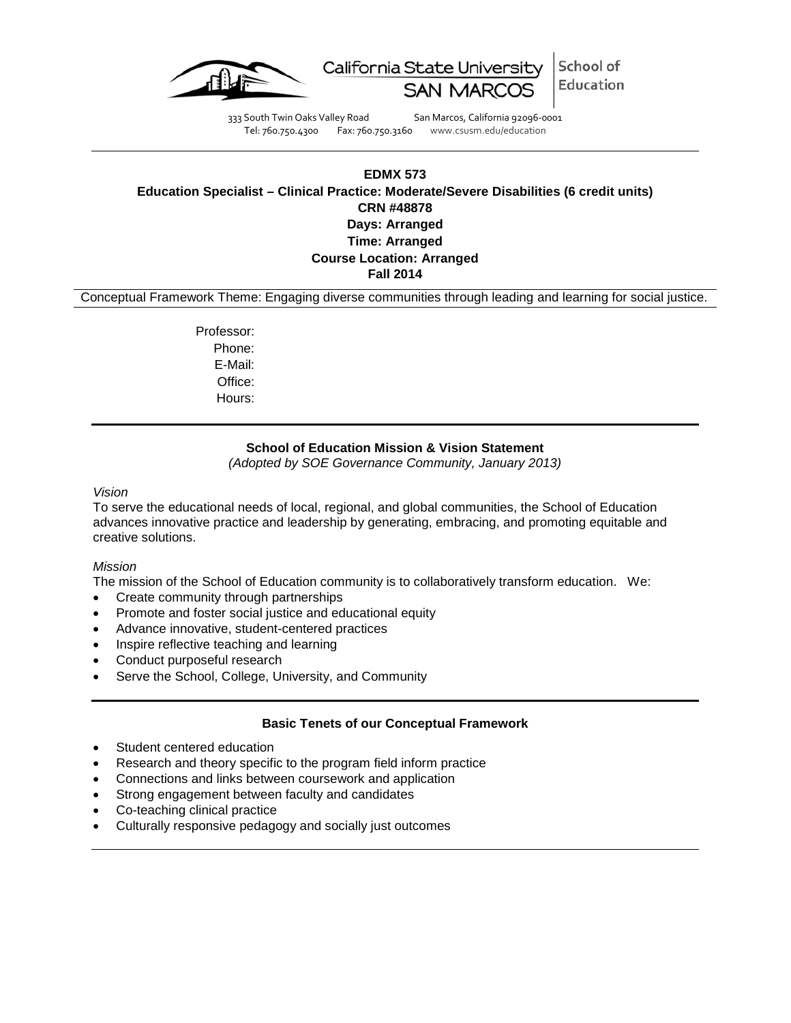

School of California State University Education

333 South Twin Oaks Valley Road San Marcos, California 92096-0001 Tel: 760.750.4300 Fax: 760.750.3160 www.csusm.edu/education

# **EDMX 573 Education Specialist – Clinical Practice: Moderate/Severe Disabilities (6 credit units) CRN #48878 Days: Arranged Time: Arranged Course Location: Arranged Fall 2014**

Conceptual Framework Theme: Engaging diverse communities through leading and learning for social justice.

Professor: Phone: E-Mail: Office: Hours:

## **School of Education Mission & Vision Statement**

*(Adopted by SOE Governance Community, January 2013)*

### *Vision*

To serve the educational needs of local, regional, and global communities, the School of Education advances innovative practice and leadership by generating, embracing, and promoting equitable and creative solutions.

### *Mission*

The mission of the School of Education community is to collaboratively transform education. We:

- Create community through partnerships
- Promote and foster social justice and educational equity
- Advance innovative, student-centered practices
- Inspire reflective teaching and learning
- Conduct purposeful research
- Serve the School, College, University, and Community

## **Basic Tenets of our Conceptual Framework**

- Student centered education
- Research and theory specific to the program field inform practice
- Connections and links between coursework and application
- Strong engagement between faculty and candidates
- Co-teaching clinical practice
- Culturally responsive pedagogy and socially just outcomes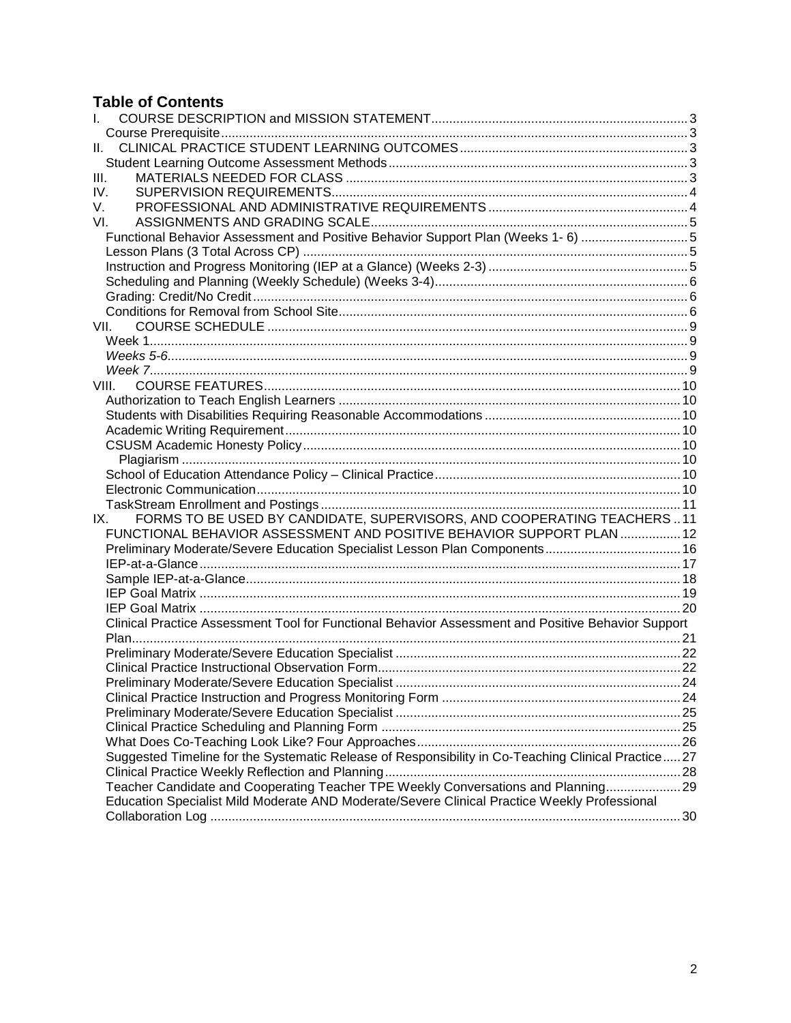# **Table of Contents**

<span id="page-1-0"></span>

| L.                                                                                                 |  |
|----------------------------------------------------------------------------------------------------|--|
|                                                                                                    |  |
| II.                                                                                                |  |
|                                                                                                    |  |
| Ш.                                                                                                 |  |
| IV.                                                                                                |  |
| V.                                                                                                 |  |
| VI.                                                                                                |  |
| Functional Behavior Assessment and Positive Behavior Support Plan (Weeks 1- 6) 5                   |  |
|                                                                                                    |  |
|                                                                                                    |  |
|                                                                                                    |  |
|                                                                                                    |  |
|                                                                                                    |  |
| VII.                                                                                               |  |
|                                                                                                    |  |
|                                                                                                    |  |
|                                                                                                    |  |
| VIII.                                                                                              |  |
|                                                                                                    |  |
|                                                                                                    |  |
|                                                                                                    |  |
|                                                                                                    |  |
|                                                                                                    |  |
|                                                                                                    |  |
|                                                                                                    |  |
|                                                                                                    |  |
| FORMS TO BE USED BY CANDIDATE, SUPERVISORS, AND COOPERATING TEACHERS11<br>IX.                      |  |
| FUNCTIONAL BEHAVIOR ASSESSMENT AND POSITIVE BEHAVIOR SUPPORT PLAN  12                              |  |
| Preliminary Moderate/Severe Education Specialist Lesson Plan Components 16                         |  |
|                                                                                                    |  |
|                                                                                                    |  |
|                                                                                                    |  |
|                                                                                                    |  |
| Clinical Practice Assessment Tool for Functional Behavior Assessment and Positive Behavior Support |  |
|                                                                                                    |  |
|                                                                                                    |  |
|                                                                                                    |  |
|                                                                                                    |  |
|                                                                                                    |  |
|                                                                                                    |  |
|                                                                                                    |  |
|                                                                                                    |  |
| Suggested Timeline for the Systematic Release of Responsibility in Co-Teaching Clinical Practice27 |  |
|                                                                                                    |  |
| Teacher Candidate and Cooperating Teacher TPE Weekly Conversations and Planning 29                 |  |
| Education Specialist Mild Moderate AND Moderate/Severe Clinical Practice Weekly Professional       |  |
|                                                                                                    |  |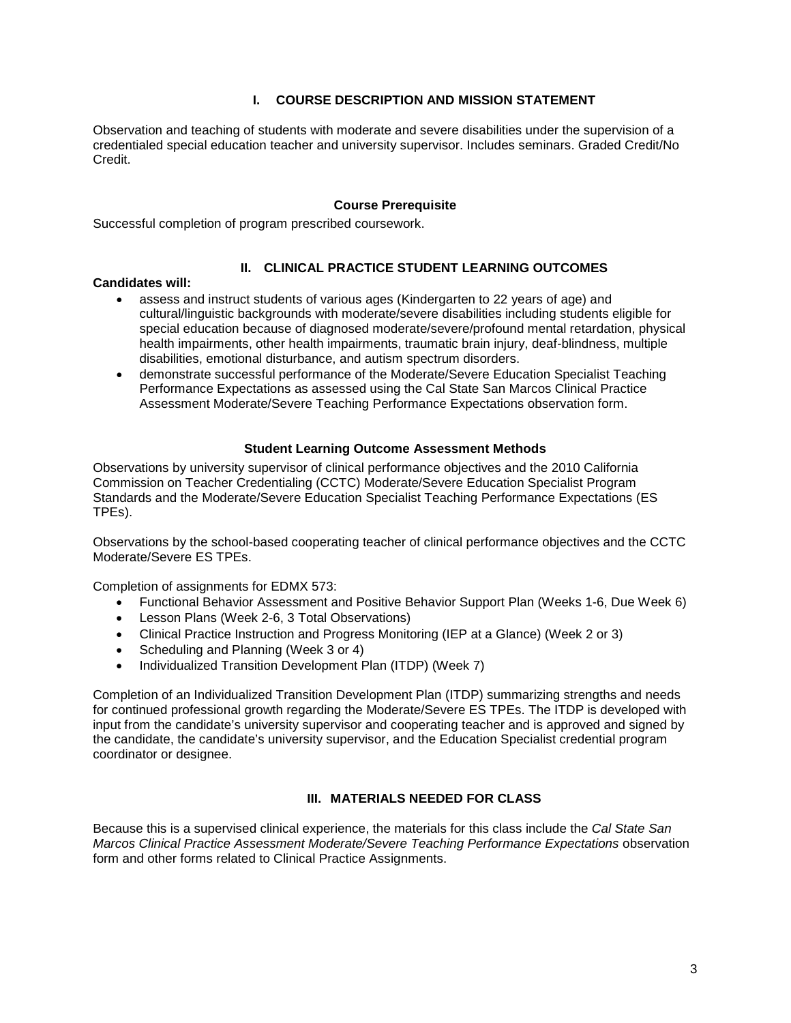## **I. COURSE DESCRIPTION AND MISSION STATEMENT**

Observation and teaching of students with moderate and severe disabilities under the supervision of a credentialed special education teacher and university supervisor. Includes seminars. Graded Credit/No Credit.

## **Course Prerequisite**

<span id="page-2-0"></span>Successful completion of program prescribed coursework.

## **II. CLINICAL PRACTICE STUDENT LEARNING OUTCOMES**

## <span id="page-2-1"></span>**Candidates will:**

- assess and instruct students of various ages (Kindergarten to 22 years of age) and cultural/linguistic backgrounds with moderate/severe disabilities including students eligible for special education because of diagnosed moderate/severe/profound mental retardation, physical health impairments, other health impairments, traumatic brain injury, deaf-blindness, multiple disabilities, emotional disturbance, and autism spectrum disorders.
- demonstrate successful performance of the Moderate/Severe Education Specialist Teaching Performance Expectations as assessed using the Cal State San Marcos Clinical Practice Assessment Moderate/Severe Teaching Performance Expectations observation form.

### **Student Learning Outcome Assessment Methods**

<span id="page-2-2"></span>Observations by university supervisor of clinical performance objectives and the 2010 California Commission on Teacher Credentialing (CCTC) Moderate/Severe Education Specialist Program Standards and the Moderate/Severe Education Specialist Teaching Performance Expectations (ES TPEs).

Observations by the school-based cooperating teacher of clinical performance objectives and the CCTC Moderate/Severe ES TPEs.

Completion of assignments for EDMX 573:

- Functional Behavior Assessment and Positive Behavior Support Plan (Weeks 1-6, Due Week 6)
- Lesson Plans (Week 2-6, 3 Total Observations)
- Clinical Practice Instruction and Progress Monitoring (IEP at a Glance) (Week 2 or 3)
- Scheduling and Planning (Week 3 or 4)
- Individualized Transition Development Plan (ITDP) (Week 7)

Completion of an Individualized Transition Development Plan (ITDP) summarizing strengths and needs for continued professional growth regarding the Moderate/Severe ES TPEs. The ITDP is developed with input from the candidate's university supervisor and cooperating teacher and is approved and signed by the candidate, the candidate's university supervisor, and the Education Specialist credential program coordinator or designee.

## **III. MATERIALS NEEDED FOR CLASS**

<span id="page-2-3"></span>Because this is a supervised clinical experience, the materials for this class include the *Cal State San Marcos Clinical Practice Assessment Moderate/Severe Teaching Performance Expectations* observation form and other forms related to Clinical Practice Assignments.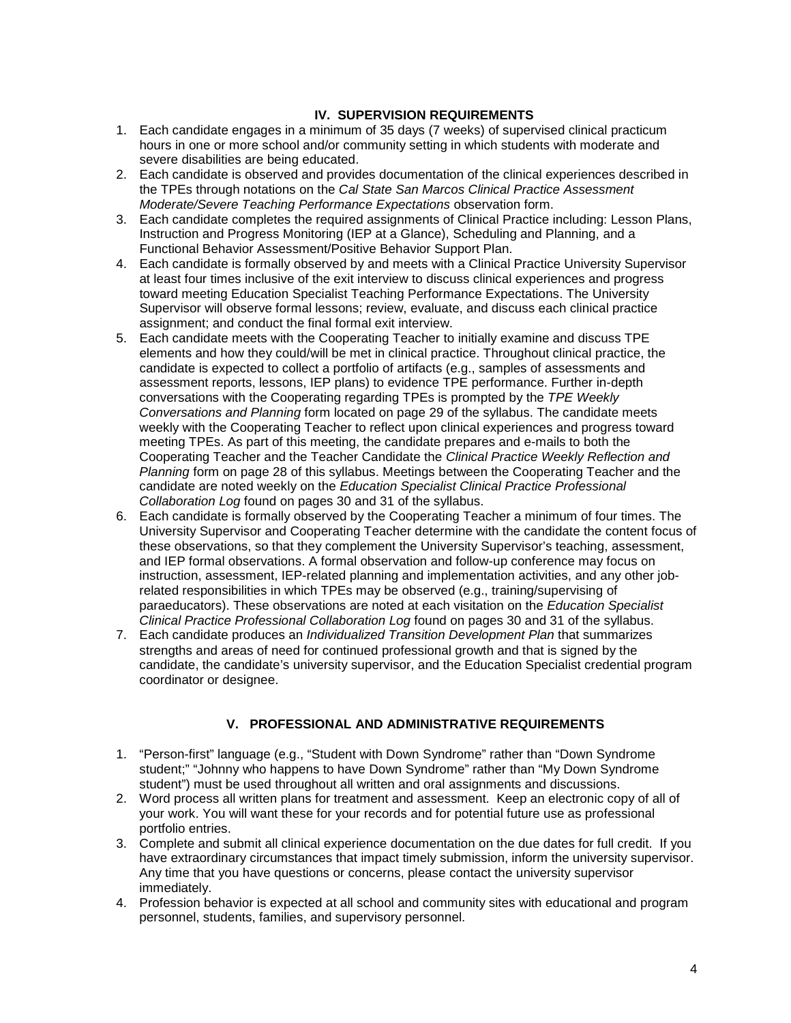## **IV. SUPERVISION REQUIREMENTS**

- <span id="page-3-0"></span>1. Each candidate engages in a minimum of 35 days (7 weeks) of supervised clinical practicum hours in one or more school and/or community setting in which students with moderate and severe disabilities are being educated.
- 2. Each candidate is observed and provides documentation of the clinical experiences described in the TPEs through notations on the *Cal State San Marcos Clinical Practice Assessment Moderate/Severe Teaching Performance Expectations* observation form.
- 3. Each candidate completes the required assignments of Clinical Practice including: Lesson Plans, Instruction and Progress Monitoring (IEP at a Glance), Scheduling and Planning, and a Functional Behavior Assessment/Positive Behavior Support Plan.
- 4. Each candidate is formally observed by and meets with a Clinical Practice University Supervisor at least four times inclusive of the exit interview to discuss clinical experiences and progress toward meeting Education Specialist Teaching Performance Expectations. The University Supervisor will observe formal lessons; review, evaluate, and discuss each clinical practice assignment; and conduct the final formal exit interview.
- 5. Each candidate meets with the Cooperating Teacher to initially examine and discuss TPE elements and how they could/will be met in clinical practice. Throughout clinical practice, the candidate is expected to collect a portfolio of artifacts (e.g., samples of assessments and assessment reports, lessons, IEP plans) to evidence TPE performance. Further in-depth conversations with the Cooperating regarding TPEs is prompted by the *TPE Weekly Conversations and Planning* form located on page 29 of the syllabus. The candidate meets weekly with the Cooperating Teacher to reflect upon clinical experiences and progress toward meeting TPEs. As part of this meeting, the candidate prepares and e-mails to both the Cooperating Teacher and the Teacher Candidate the *Clinical Practice Weekly Reflection and Planning* form on page 28 of this syllabus. Meetings between the Cooperating Teacher and the candidate are noted weekly on the *Education Specialist Clinical Practice Professional Collaboration Log* found on pages 30 and 31 of the syllabus.
- 6. Each candidate is formally observed by the Cooperating Teacher a minimum of four times. The University Supervisor and Cooperating Teacher determine with the candidate the content focus of these observations, so that they complement the University Supervisor's teaching, assessment, and IEP formal observations. A formal observation and follow-up conference may focus on instruction, assessment, IEP-related planning and implementation activities, and any other jobrelated responsibilities in which TPEs may be observed (e.g., training/supervising of paraeducators). These observations are noted at each visitation on the *Education Specialist Clinical Practice Professional Collaboration Log* found on pages 30 and 31 of the syllabus.
- 7. Each candidate produces an *Individualized Transition Development Plan* that summarizes strengths and areas of need for continued professional growth and that is signed by the candidate, the candidate's university supervisor, and the Education Specialist credential program coordinator or designee.

# **V. PROFESSIONAL AND ADMINISTRATIVE REQUIREMENTS**

- <span id="page-3-1"></span>1. "Person-first" language (e.g., "Student with Down Syndrome" rather than "Down Syndrome student;" "Johnny who happens to have Down Syndrome" rather than "My Down Syndrome student") must be used throughout all written and oral assignments and discussions.
- 2. Word process all written plans for treatment and assessment. Keep an electronic copy of all of your work. You will want these for your records and for potential future use as professional portfolio entries.
- 3. Complete and submit all clinical experience documentation on the due dates for full credit. If you have extraordinary circumstances that impact timely submission, inform the university supervisor. Any time that you have questions or concerns, please contact the university supervisor immediately.
- 4. Profession behavior is expected at all school and community sites with educational and program personnel, students, families, and supervisory personnel.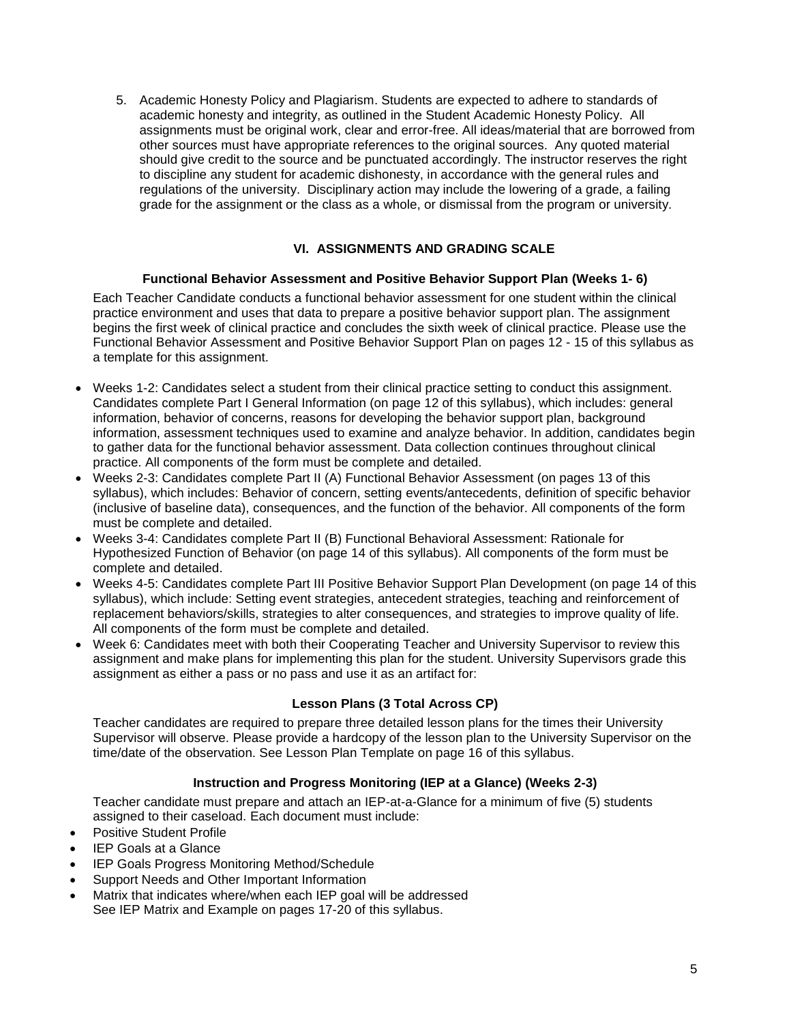5. Academic Honesty Policy and Plagiarism. Students are expected to adhere to standards of academic honesty and integrity, as outlined in the Student Academic Honesty Policy. All assignments must be original work, clear and error-free. All ideas/material that are borrowed from other sources must have appropriate references to the original sources. Any quoted material should give credit to the source and be punctuated accordingly. The instructor reserves the right to discipline any student for academic dishonesty, in accordance with the general rules and regulations of the university. Disciplinary action may include the lowering of a grade, a failing grade for the assignment or the class as a whole, or dismissal from the program or university.

# **VI. ASSIGNMENTS AND GRADING SCALE**

## **Functional Behavior Assessment and Positive Behavior Support Plan (Weeks 1- 6)**

<span id="page-4-1"></span><span id="page-4-0"></span>Each Teacher Candidate conducts a functional behavior assessment for one student within the clinical practice environment and uses that data to prepare a positive behavior support plan. The assignment begins the first week of clinical practice and concludes the sixth week of clinical practice. Please use the Functional Behavior Assessment and Positive Behavior Support Plan on pages 12 - 15 of this syllabus as a template for this assignment.

- Weeks 1-2: Candidates select a student from their clinical practice setting to conduct this assignment. Candidates complete Part I General Information (on page 12 of this syllabus), which includes: general information, behavior of concerns, reasons for developing the behavior support plan, background information, assessment techniques used to examine and analyze behavior. In addition, candidates begin to gather data for the functional behavior assessment. Data collection continues throughout clinical practice. All components of the form must be complete and detailed.
- Weeks 2-3: Candidates complete Part II (A) Functional Behavior Assessment (on pages 13 of this syllabus), which includes: Behavior of concern, setting events/antecedents, definition of specific behavior (inclusive of baseline data), consequences, and the function of the behavior. All components of the form must be complete and detailed.
- Weeks 3-4: Candidates complete Part II (B) Functional Behavioral Assessment: Rationale for Hypothesized Function of Behavior (on page 14 of this syllabus). All components of the form must be complete and detailed.
- Weeks 4-5: Candidates complete Part III Positive Behavior Support Plan Development (on page 14 of this syllabus), which include: Setting event strategies, antecedent strategies, teaching and reinforcement of replacement behaviors/skills, strategies to alter consequences, and strategies to improve quality of life. All components of the form must be complete and detailed.
- Week 6: Candidates meet with both their Cooperating Teacher and University Supervisor to review this assignment and make plans for implementing this plan for the student. University Supervisors grade this assignment as either a pass or no pass and use it as an artifact for:

## **Lesson Plans (3 Total Across CP)**

<span id="page-4-2"></span>Teacher candidates are required to prepare three detailed lesson plans for the times their University Supervisor will observe. Please provide a hardcopy of the lesson plan to the University Supervisor on the time/date of the observation. See Lesson Plan Template on page 16 of this syllabus.

## **Instruction and Progress Monitoring (IEP at a Glance) (Weeks 2-3)**

<span id="page-4-3"></span>Teacher candidate must prepare and attach an IEP-at-a-Glance for a minimum of five (5) students assigned to their caseload. Each document must include:

- Positive Student Profile
- **IEP Goals at a Glance**
- IEP Goals Progress Monitoring Method/Schedule
- Support Needs and Other Important Information
- Matrix that indicates where/when each IEP goal will be addressed See IEP Matrix and Example on pages 17-20 of this syllabus.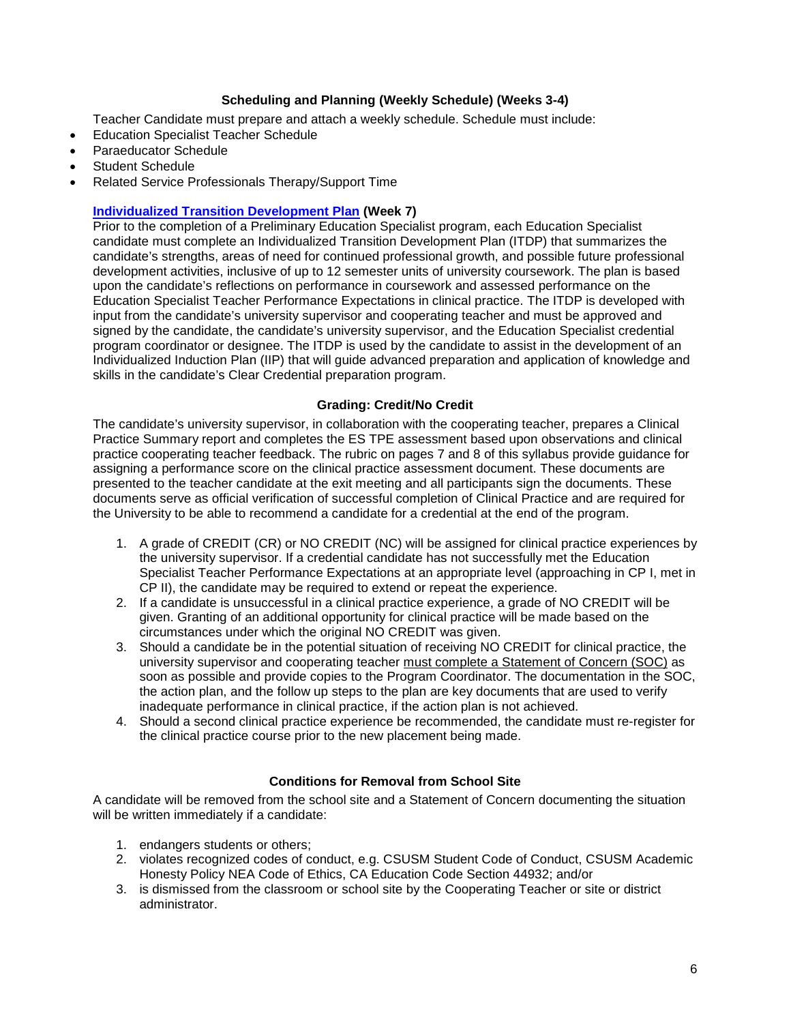## **Scheduling and Planning (Weekly Schedule) (Weeks 3-4)**

<span id="page-5-0"></span>Teacher Candidate must prepare and attach a weekly schedule. Schedule must include:

- Education Specialist Teacher Schedule
- Paraeducator Schedule
- Student Schedule
- Related Service Professionals Therapy/Support Time

# **Individualized Transition Development Plan (Week 7)**

Prior to the completion of a Preliminary Education Specialist program, each Education Specialist candidate must complete an Individualized Transition Development Plan (ITDP) that summarizes the candidate's strengths, areas of need for continued professional growth, and possible future professional development activities, inclusive of up to 12 semester units of university coursework. The plan is based upon the candidate's reflections on performance in coursework and assessed performance on the Education Specialist Teacher Performance Expectations in clinical practice. The ITDP is developed with input from the candidate's university supervisor and cooperating teacher and must be approved and signed by the candidate, the candidate's university supervisor, and the Education Specialist credential program coordinator or designee. The ITDP is used by the candidate to assist in the development of an Individualized Induction Plan (IIP) that will guide advanced preparation and application of knowledge and skills in the candidate's Clear Credential preparation program.

# **Grading: Credit/No Credit**

<span id="page-5-1"></span>The candidate's university supervisor, in collaboration with the cooperating teacher, prepares a Clinical Practice Summary report and completes the ES TPE assessment based upon observations and clinical practice cooperating teacher feedback. The rubric on pages 7 and 8 of this syllabus provide guidance for assigning a performance score on the clinical practice assessment document. These documents are presented to the teacher candidate at the exit meeting and all participants sign the documents. These documents serve as official verification of successful completion of Clinical Practice and are required for the University to be able to recommend a candidate for a credential at the end of the program.

- 1. A grade of CREDIT (CR) or NO CREDIT (NC) will be assigned for clinical practice experiences by the university supervisor. If a credential candidate has not successfully met the Education Specialist Teacher Performance Expectations at an appropriate level (approaching in CP I, met in CP II), the candidate may be required to extend or repeat the experience.
- 2. If a candidate is unsuccessful in a clinical practice experience, a grade of NO CREDIT will be given. Granting of an additional opportunity for clinical practice will be made based on the circumstances under which the original NO CREDIT was given.
- 3. Should a candidate be in the potential situation of receiving NO CREDIT for clinical practice, the university supervisor and cooperating teacher must complete a Statement of Concern (SOC) as soon as possible and provide copies to the Program Coordinator. The documentation in the SOC, the action plan, and the follow up steps to the plan are key documents that are used to verify inadequate performance in clinical practice, if the action plan is not achieved.
- 4. Should a second clinical practice experience be recommended, the candidate must re-register for the clinical practice course prior to the new placement being made.

# **Conditions for Removal from School Site**

<span id="page-5-2"></span>A candidate will be removed from the school site and a Statement of Concern documenting the situation will be written immediately if a candidate:

- 1. endangers students or others;
- 2. violates recognized codes of conduct, e.g. CSUSM Student Code of Conduct, CSUSM Academic Honesty Policy NEA Code of Ethics, CA Education Code Section 44932; and/or
- 3. is dismissed from the classroom or school site by the Cooperating Teacher or site or district administrator.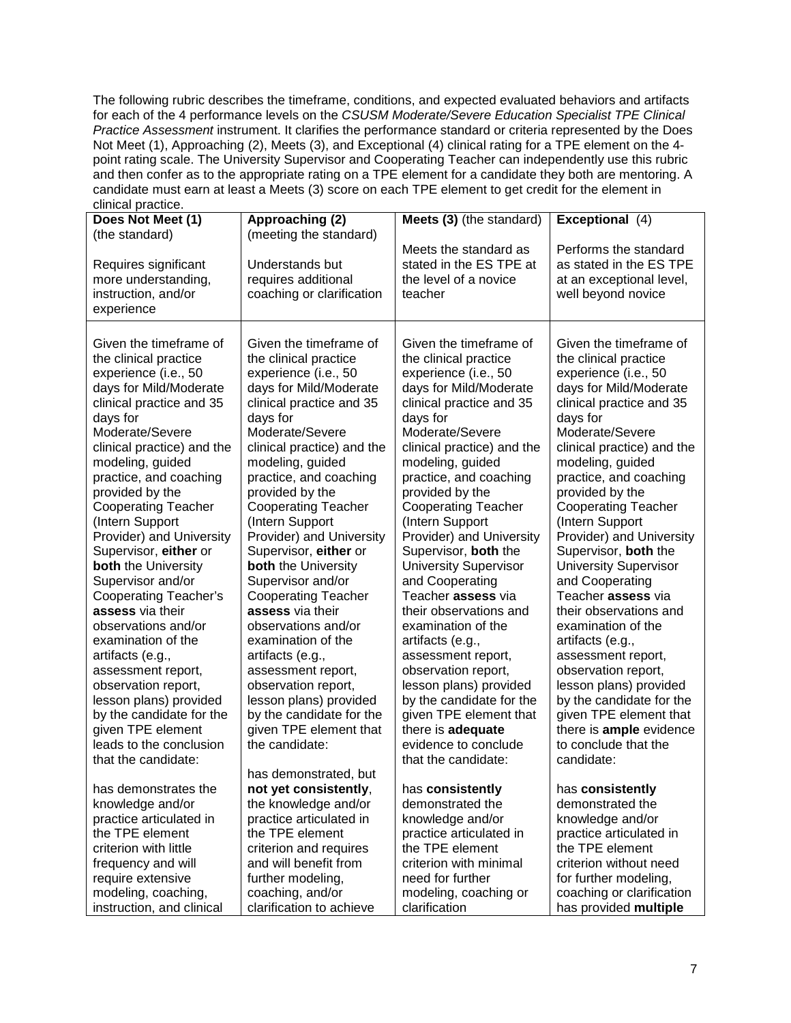The following rubric describes the timeframe, conditions, and expected evaluated behaviors and artifacts for each of the 4 performance levels on the *CSUSM Moderate/Severe Education Specialist TPE Clinical Practice Assessment* instrument. It clarifies the performance standard or criteria represented by the Does Not Meet (1), Approaching (2), Meets (3), and Exceptional (4) clinical rating for a TPE element on the 4 point rating scale. The University Supervisor and Cooperating Teacher can independently use this rubric and then confer as to the appropriate rating on a TPE element for a candidate they both are mentoring. A candidate must earn at least a Meets (3) score on each TPE element to get credit for the element in clinical practice.

| cili lical practice.                                                                                                                                                                                                                                                                                                                                                                                                                                                                                                                                                                                                                                                                                                |                                                                                                                                                                                                                                                                                                                                                                                                                                                                                                                                                                                                                                                                                                          |                                                                                                                                                                                                                                                                                                                                                                                                                                                                                                                                                                                                                                                                                                                |                                                                                                                                                                                                                                                                                                                                                                                                                                                                                                                                                                                                                                                                                                             |
|---------------------------------------------------------------------------------------------------------------------------------------------------------------------------------------------------------------------------------------------------------------------------------------------------------------------------------------------------------------------------------------------------------------------------------------------------------------------------------------------------------------------------------------------------------------------------------------------------------------------------------------------------------------------------------------------------------------------|----------------------------------------------------------------------------------------------------------------------------------------------------------------------------------------------------------------------------------------------------------------------------------------------------------------------------------------------------------------------------------------------------------------------------------------------------------------------------------------------------------------------------------------------------------------------------------------------------------------------------------------------------------------------------------------------------------|----------------------------------------------------------------------------------------------------------------------------------------------------------------------------------------------------------------------------------------------------------------------------------------------------------------------------------------------------------------------------------------------------------------------------------------------------------------------------------------------------------------------------------------------------------------------------------------------------------------------------------------------------------------------------------------------------------------|-------------------------------------------------------------------------------------------------------------------------------------------------------------------------------------------------------------------------------------------------------------------------------------------------------------------------------------------------------------------------------------------------------------------------------------------------------------------------------------------------------------------------------------------------------------------------------------------------------------------------------------------------------------------------------------------------------------|
| Does Not Meet (1)<br>(the standard)                                                                                                                                                                                                                                                                                                                                                                                                                                                                                                                                                                                                                                                                                 | Approaching (2)<br>(meeting the standard)                                                                                                                                                                                                                                                                                                                                                                                                                                                                                                                                                                                                                                                                | Meets (3) (the standard)                                                                                                                                                                                                                                                                                                                                                                                                                                                                                                                                                                                                                                                                                       | Exceptional (4)                                                                                                                                                                                                                                                                                                                                                                                                                                                                                                                                                                                                                                                                                             |
| Requires significant<br>more understanding,<br>instruction, and/or<br>experience                                                                                                                                                                                                                                                                                                                                                                                                                                                                                                                                                                                                                                    | Understands but<br>requires additional<br>coaching or clarification                                                                                                                                                                                                                                                                                                                                                                                                                                                                                                                                                                                                                                      | Meets the standard as<br>stated in the ES TPE at<br>the level of a novice<br>teacher                                                                                                                                                                                                                                                                                                                                                                                                                                                                                                                                                                                                                           | Performs the standard<br>as stated in the ES TPE<br>at an exceptional level,<br>well beyond novice                                                                                                                                                                                                                                                                                                                                                                                                                                                                                                                                                                                                          |
| Given the timeframe of<br>the clinical practice<br>experience (i.e., 50<br>days for Mild/Moderate<br>clinical practice and 35<br>days for<br>Moderate/Severe<br>clinical practice) and the<br>modeling, guided<br>practice, and coaching<br>provided by the<br><b>Cooperating Teacher</b><br>(Intern Support<br>Provider) and University<br>Supervisor, either or<br><b>both</b> the University<br>Supervisor and/or<br><b>Cooperating Teacher's</b><br>assess via their<br>observations and/or<br>examination of the<br>artifacts (e.g.,<br>assessment report,<br>observation report,<br>lesson plans) provided<br>by the candidate for the<br>given TPE element<br>leads to the conclusion<br>that the candidate: | Given the timeframe of<br>the clinical practice<br>experience (i.e., 50<br>days for Mild/Moderate<br>clinical practice and 35<br>days for<br>Moderate/Severe<br>clinical practice) and the<br>modeling, guided<br>practice, and coaching<br>provided by the<br><b>Cooperating Teacher</b><br>(Intern Support<br>Provider) and University<br>Supervisor, either or<br>both the University<br>Supervisor and/or<br><b>Cooperating Teacher</b><br>assess via their<br>observations and/or<br>examination of the<br>artifacts (e.g.,<br>assessment report,<br>observation report,<br>lesson plans) provided<br>by the candidate for the<br>given TPE element that<br>the candidate:<br>has demonstrated, but | Given the timeframe of<br>the clinical practice<br>experience (i.e., 50<br>days for Mild/Moderate<br>clinical practice and 35<br>days for<br>Moderate/Severe<br>clinical practice) and the<br>modeling, guided<br>practice, and coaching<br>provided by the<br><b>Cooperating Teacher</b><br>(Intern Support<br>Provider) and University<br>Supervisor, both the<br><b>University Supervisor</b><br>and Cooperating<br>Teacher assess via<br>their observations and<br>examination of the<br>artifacts (e.g.,<br>assessment report,<br>observation report,<br>lesson plans) provided<br>by the candidate for the<br>given TPE element that<br>there is adequate<br>evidence to conclude<br>that the candidate: | Given the timeframe of<br>the clinical practice<br>experience (i.e., 50<br>days for Mild/Moderate<br>clinical practice and 35<br>days for<br>Moderate/Severe<br>clinical practice) and the<br>modeling, guided<br>practice, and coaching<br>provided by the<br><b>Cooperating Teacher</b><br>(Intern Support<br>Provider) and University<br>Supervisor, both the<br><b>University Supervisor</b><br>and Cooperating<br>Teacher assess via<br>their observations and<br>examination of the<br>artifacts (e.g.,<br>assessment report,<br>observation report,<br>lesson plans) provided<br>by the candidate for the<br>given TPE element that<br>there is ample evidence<br>to conclude that the<br>candidate: |
| has demonstrates the                                                                                                                                                                                                                                                                                                                                                                                                                                                                                                                                                                                                                                                                                                | not yet consistently,                                                                                                                                                                                                                                                                                                                                                                                                                                                                                                                                                                                                                                                                                    | has consistently                                                                                                                                                                                                                                                                                                                                                                                                                                                                                                                                                                                                                                                                                               | has consistently                                                                                                                                                                                                                                                                                                                                                                                                                                                                                                                                                                                                                                                                                            |
| knowledge and/or                                                                                                                                                                                                                                                                                                                                                                                                                                                                                                                                                                                                                                                                                                    | the knowledge and/or                                                                                                                                                                                                                                                                                                                                                                                                                                                                                                                                                                                                                                                                                     | demonstrated the                                                                                                                                                                                                                                                                                                                                                                                                                                                                                                                                                                                                                                                                                               | demonstrated the                                                                                                                                                                                                                                                                                                                                                                                                                                                                                                                                                                                                                                                                                            |
| practice articulated in                                                                                                                                                                                                                                                                                                                                                                                                                                                                                                                                                                                                                                                                                             | practice articulated in                                                                                                                                                                                                                                                                                                                                                                                                                                                                                                                                                                                                                                                                                  | knowledge and/or                                                                                                                                                                                                                                                                                                                                                                                                                                                                                                                                                                                                                                                                                               | knowledge and/or                                                                                                                                                                                                                                                                                                                                                                                                                                                                                                                                                                                                                                                                                            |
| the TPE element                                                                                                                                                                                                                                                                                                                                                                                                                                                                                                                                                                                                                                                                                                     | the TPE element                                                                                                                                                                                                                                                                                                                                                                                                                                                                                                                                                                                                                                                                                          | practice articulated in                                                                                                                                                                                                                                                                                                                                                                                                                                                                                                                                                                                                                                                                                        | practice articulated in                                                                                                                                                                                                                                                                                                                                                                                                                                                                                                                                                                                                                                                                                     |
| criterion with little                                                                                                                                                                                                                                                                                                                                                                                                                                                                                                                                                                                                                                                                                               | criterion and requires                                                                                                                                                                                                                                                                                                                                                                                                                                                                                                                                                                                                                                                                                   | the TPE element                                                                                                                                                                                                                                                                                                                                                                                                                                                                                                                                                                                                                                                                                                | the TPE element                                                                                                                                                                                                                                                                                                                                                                                                                                                                                                                                                                                                                                                                                             |
| frequency and will                                                                                                                                                                                                                                                                                                                                                                                                                                                                                                                                                                                                                                                                                                  | and will benefit from                                                                                                                                                                                                                                                                                                                                                                                                                                                                                                                                                                                                                                                                                    | criterion with minimal                                                                                                                                                                                                                                                                                                                                                                                                                                                                                                                                                                                                                                                                                         | criterion without need                                                                                                                                                                                                                                                                                                                                                                                                                                                                                                                                                                                                                                                                                      |
| require extensive                                                                                                                                                                                                                                                                                                                                                                                                                                                                                                                                                                                                                                                                                                   | further modeling,                                                                                                                                                                                                                                                                                                                                                                                                                                                                                                                                                                                                                                                                                        | need for further                                                                                                                                                                                                                                                                                                                                                                                                                                                                                                                                                                                                                                                                                               | for further modeling,                                                                                                                                                                                                                                                                                                                                                                                                                                                                                                                                                                                                                                                                                       |
| modeling, coaching,                                                                                                                                                                                                                                                                                                                                                                                                                                                                                                                                                                                                                                                                                                 | coaching, and/or                                                                                                                                                                                                                                                                                                                                                                                                                                                                                                                                                                                                                                                                                         | modeling, coaching or                                                                                                                                                                                                                                                                                                                                                                                                                                                                                                                                                                                                                                                                                          | coaching or clarification                                                                                                                                                                                                                                                                                                                                                                                                                                                                                                                                                                                                                                                                                   |
| instruction, and clinical                                                                                                                                                                                                                                                                                                                                                                                                                                                                                                                                                                                                                                                                                           | clarification to achieve                                                                                                                                                                                                                                                                                                                                                                                                                                                                                                                                                                                                                                                                                 | clarification                                                                                                                                                                                                                                                                                                                                                                                                                                                                                                                                                                                                                                                                                                  | has provided multiple                                                                                                                                                                                                                                                                                                                                                                                                                                                                                                                                                                                                                                                                                       |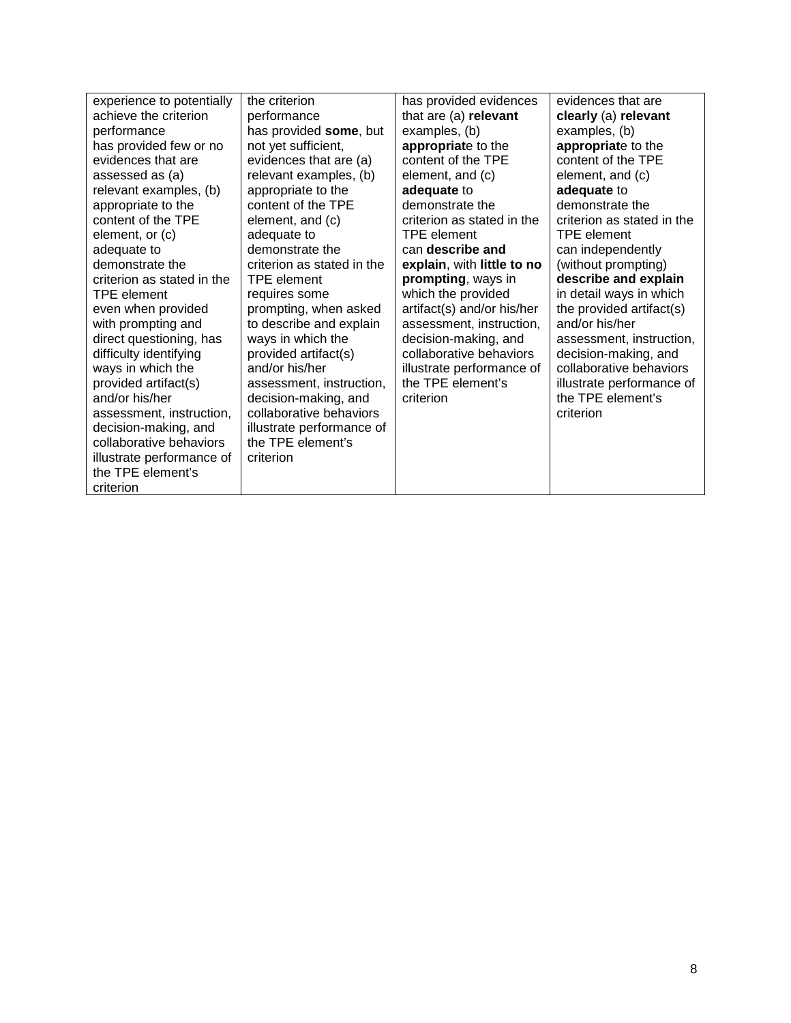| experience to potentially                                                                                                                  | the criterion                                                                          | has provided evidences     | evidences that are         |
|--------------------------------------------------------------------------------------------------------------------------------------------|----------------------------------------------------------------------------------------|----------------------------|----------------------------|
| achieve the criterion                                                                                                                      | performance                                                                            | that are (a) relevant      | clearly (a) relevant       |
| performance                                                                                                                                | has provided some, but                                                                 | examples, (b)              | examples, (b)              |
| has provided few or no                                                                                                                     | not yet sufficient,                                                                    | appropriate to the         | appropriate to the         |
| evidences that are                                                                                                                         | evidences that are (a)                                                                 | content of the TPE         | content of the TPE         |
| assessed as (a)                                                                                                                            | relevant examples, (b)                                                                 | element, and (c)           | element, and (c)           |
| relevant examples, (b)                                                                                                                     | appropriate to the                                                                     | adequate to                | adequate to                |
| appropriate to the                                                                                                                         | content of the TPE                                                                     | demonstrate the            | demonstrate the            |
| content of the TPE                                                                                                                         | element, and (c)                                                                       | criterion as stated in the | criterion as stated in the |
| element, or (c)                                                                                                                            | adequate to                                                                            | <b>TPE</b> element         | <b>TPE</b> element         |
| adequate to                                                                                                                                | demonstrate the                                                                        | can describe and           | can independently          |
| demonstrate the                                                                                                                            | criterion as stated in the                                                             | explain, with little to no | (without prompting)        |
| criterion as stated in the                                                                                                                 | <b>TPE</b> element                                                                     | prompting, ways in         | describe and explain       |
| TPE element                                                                                                                                | requires some                                                                          | which the provided         | in detail ways in which    |
| even when provided                                                                                                                         | prompting, when asked                                                                  | artifact(s) and/or his/her | the provided artifact(s)   |
| with prompting and                                                                                                                         | to describe and explain                                                                | assessment, instruction,   | and/or his/her             |
| direct questioning, has                                                                                                                    | ways in which the                                                                      | decision-making, and       | assessment, instruction,   |
| difficulty identifying                                                                                                                     | provided artifact(s)                                                                   | collaborative behaviors    | decision-making, and       |
| ways in which the                                                                                                                          | and/or his/her                                                                         | illustrate performance of  | collaborative behaviors    |
| provided artifact(s)                                                                                                                       | assessment, instruction,                                                               | the TPE element's          | illustrate performance of  |
| and/or his/her                                                                                                                             | decision-making, and                                                                   | criterion                  | the TPE element's          |
| assessment, instruction,<br>decision-making, and<br>collaborative behaviors<br>illustrate performance of<br>the TPE element's<br>criterion | collaborative behaviors<br>illustrate performance of<br>the TPE element's<br>criterion |                            | criterion                  |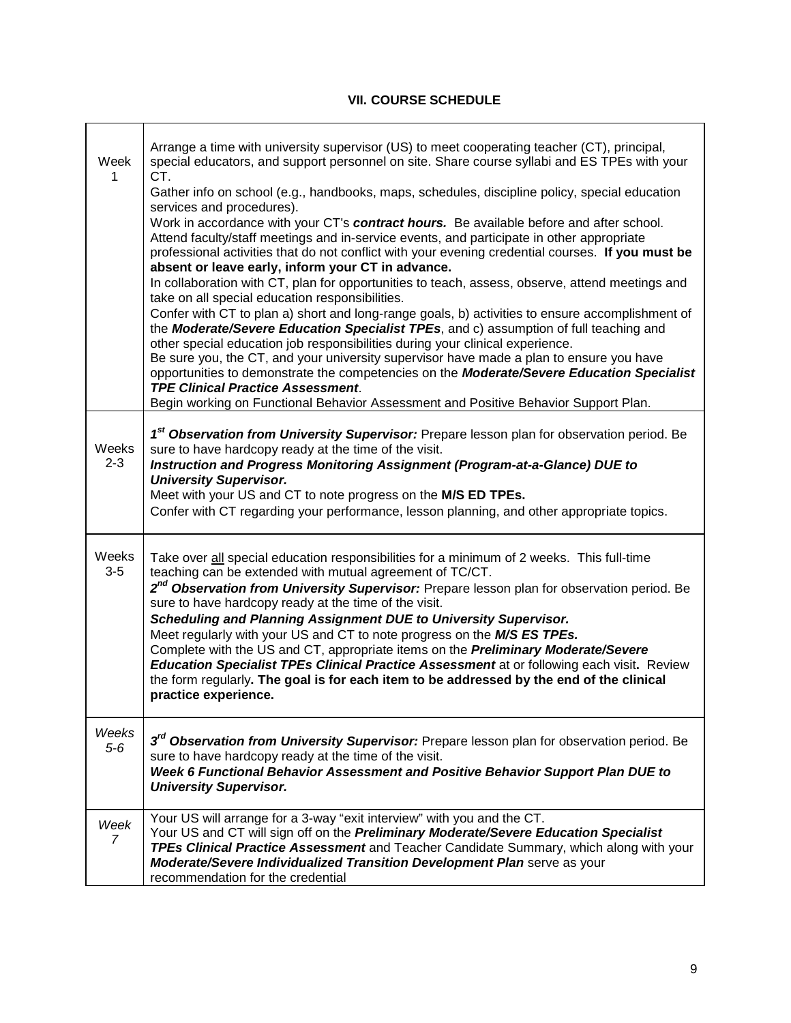# **VII. COURSE SCHEDULE**

<span id="page-8-3"></span><span id="page-8-2"></span><span id="page-8-1"></span><span id="page-8-0"></span>

| Week             | Arrange a time with university supervisor (US) to meet cooperating teacher (CT), principal,<br>special educators, and support personnel on site. Share course syllabi and ES TPEs with your<br>CT.<br>Gather info on school (e.g., handbooks, maps, schedules, discipline policy, special education<br>services and procedures).<br>Work in accordance with your CT's contract hours. Be available before and after school.<br>Attend faculty/staff meetings and in-service events, and participate in other appropriate<br>professional activities that do not conflict with your evening credential courses. If you must be<br>absent or leave early, inform your CT in advance.<br>In collaboration with CT, plan for opportunities to teach, assess, observe, attend meetings and<br>take on all special education responsibilities.<br>Confer with CT to plan a) short and long-range goals, b) activities to ensure accomplishment of<br>the Moderate/Severe Education Specialist TPEs, and c) assumption of full teaching and<br>other special education job responsibilities during your clinical experience.<br>Be sure you, the CT, and your university supervisor have made a plan to ensure you have<br>opportunities to demonstrate the competencies on the Moderate/Severe Education Specialist<br><b>TPE Clinical Practice Assessment.</b><br>Begin working on Functional Behavior Assessment and Positive Behavior Support Plan. |
|------------------|--------------------------------------------------------------------------------------------------------------------------------------------------------------------------------------------------------------------------------------------------------------------------------------------------------------------------------------------------------------------------------------------------------------------------------------------------------------------------------------------------------------------------------------------------------------------------------------------------------------------------------------------------------------------------------------------------------------------------------------------------------------------------------------------------------------------------------------------------------------------------------------------------------------------------------------------------------------------------------------------------------------------------------------------------------------------------------------------------------------------------------------------------------------------------------------------------------------------------------------------------------------------------------------------------------------------------------------------------------------------------------------------------------------------------------------------------|
| Weeks<br>$2 - 3$ | 1st Observation from University Supervisor: Prepare lesson plan for observation period. Be<br>sure to have hardcopy ready at the time of the visit.<br>Instruction and Progress Monitoring Assignment (Program-at-a-Glance) DUE to<br><b>University Supervisor.</b><br>Meet with your US and CT to note progress on the M/S ED TPEs.<br>Confer with CT regarding your performance, lesson planning, and other appropriate topics.                                                                                                                                                                                                                                                                                                                                                                                                                                                                                                                                                                                                                                                                                                                                                                                                                                                                                                                                                                                                                |
| Weeks<br>$3-5$   | Take over all special education responsibilities for a minimum of 2 weeks. This full-time<br>teaching can be extended with mutual agreement of TC/CT.<br>2 <sup>nd</sup> Observation from University Supervisor: Prepare lesson plan for observation period. Be<br>sure to have hardcopy ready at the time of the visit.<br>Scheduling and Planning Assignment DUE to University Supervisor.<br>Meet regularly with your US and CT to note progress on the M/S ES TPEs.<br>Complete with the US and CT, appropriate items on the Preliminary Moderate/Severe<br><b>Education Specialist TPEs Clinical Practice Assessment at or following each visit. Review</b><br>the form regularly. The goal is for each item to be addressed by the end of the clinical<br>practice experience.                                                                                                                                                                                                                                                                                                                                                                                                                                                                                                                                                                                                                                                             |
| Weeks<br>$5-6$   | 3 <sup>rd</sup> Observation from University Supervisor: Prepare lesson plan for observation period. Be<br>sure to have hardcopy ready at the time of the visit.<br>Week 6 Functional Behavior Assessment and Positive Behavior Support Plan DUE to<br><b>University Supervisor.</b>                                                                                                                                                                                                                                                                                                                                                                                                                                                                                                                                                                                                                                                                                                                                                                                                                                                                                                                                                                                                                                                                                                                                                              |
| Week<br>7        | Your US will arrange for a 3-way "exit interview" with you and the CT.<br>Your US and CT will sign off on the Preliminary Moderate/Severe Education Specialist<br>TPEs Clinical Practice Assessment and Teacher Candidate Summary, which along with your<br>Moderate/Severe Individualized Transition Development Plan serve as your<br>recommendation for the credential                                                                                                                                                                                                                                                                                                                                                                                                                                                                                                                                                                                                                                                                                                                                                                                                                                                                                                                                                                                                                                                                        |

٦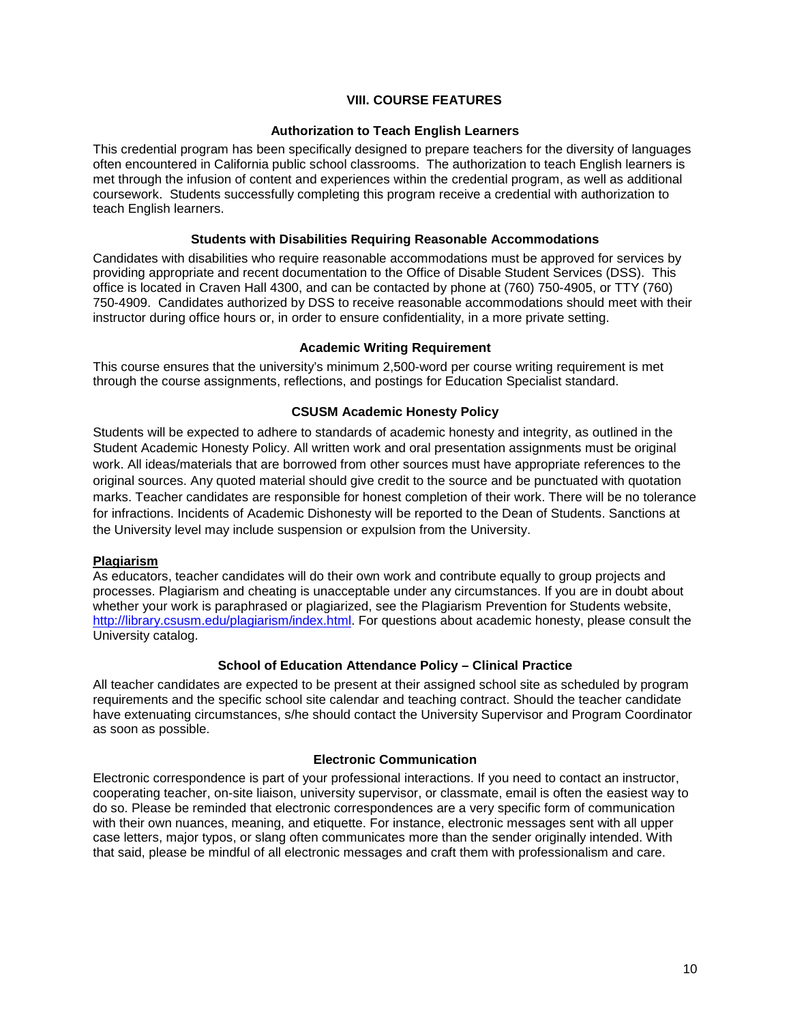## <span id="page-9-0"></span>**VIII. COURSE FEATURES**

### **Authorization to Teach English Learners**

<span id="page-9-1"></span>This credential program has been specifically designed to prepare teachers for the diversity of languages often encountered in California public school classrooms. The authorization to teach English learners is met through the infusion of content and experiences within the credential program, as well as additional coursework. Students successfully completing this program receive a credential with authorization to teach English learners.

#### **Students with Disabilities Requiring Reasonable Accommodations**

<span id="page-9-2"></span>Candidates with disabilities who require reasonable accommodations must be approved for services by providing appropriate and recent documentation to the Office of Disable Student Services (DSS). This office is located in Craven Hall 4300, and can be contacted by phone at (760) 750-4905, or TTY (760) 750-4909. Candidates authorized by DSS to receive reasonable accommodations should meet with their instructor during office hours or, in order to ensure confidentiality, in a more private setting.

#### **Academic Writing Requirement**

<span id="page-9-4"></span><span id="page-9-3"></span>This course ensures that the university's minimum 2,500-word per course writing requirement is met through the course assignments, reflections, and postings for Education Specialist standard.

#### **CSUSM Academic Honesty Policy**

Students will be expected to adhere to standards of academic honesty and integrity, as outlined in the Student Academic Honesty Policy. All written work and oral presentation assignments must be original work. All ideas/materials that are borrowed from other sources must have appropriate references to the original sources. Any quoted material should give credit to the source and be punctuated with quotation marks. Teacher candidates are responsible for honest completion of their work. There will be no tolerance for infractions. Incidents of Academic Dishonesty will be reported to the Dean of Students. Sanctions at the University level may include suspension or expulsion from the University.

### <span id="page-9-5"></span>**Plagiarism**

As educators, teacher candidates will do their own work and contribute equally to group projects and processes. Plagiarism and cheating is unacceptable under any circumstances. If you are in doubt about whether your work is paraphrased or plagiarized, see the Plagiarism Prevention for Students website, [http://library.csusm.edu/plagiarism/index.html.](http://library.csusm.edu/plagiarism/index.html) For questions about academic honesty, please consult the University catalog.

#### **School of Education Attendance Policy – Clinical Practice**

<span id="page-9-6"></span>All teacher candidates are expected to be present at their assigned school site as scheduled by program requirements and the specific school site calendar and teaching contract. Should the teacher candidate have extenuating circumstances, s/he should contact the University Supervisor and Program Coordinator as soon as possible.

#### **Electronic Communication**

<span id="page-9-7"></span>Electronic correspondence is part of your professional interactions. If you need to contact an instructor, cooperating teacher, on-site liaison, university supervisor, or classmate, email is often the easiest way to do so. Please be reminded that electronic correspondences are a very specific form of communication with their own nuances, meaning, and etiquette. For instance, electronic messages sent with all upper case letters, major typos, or slang often communicates more than the sender originally intended. With that said, please be mindful of all electronic messages and craft them with professionalism and care.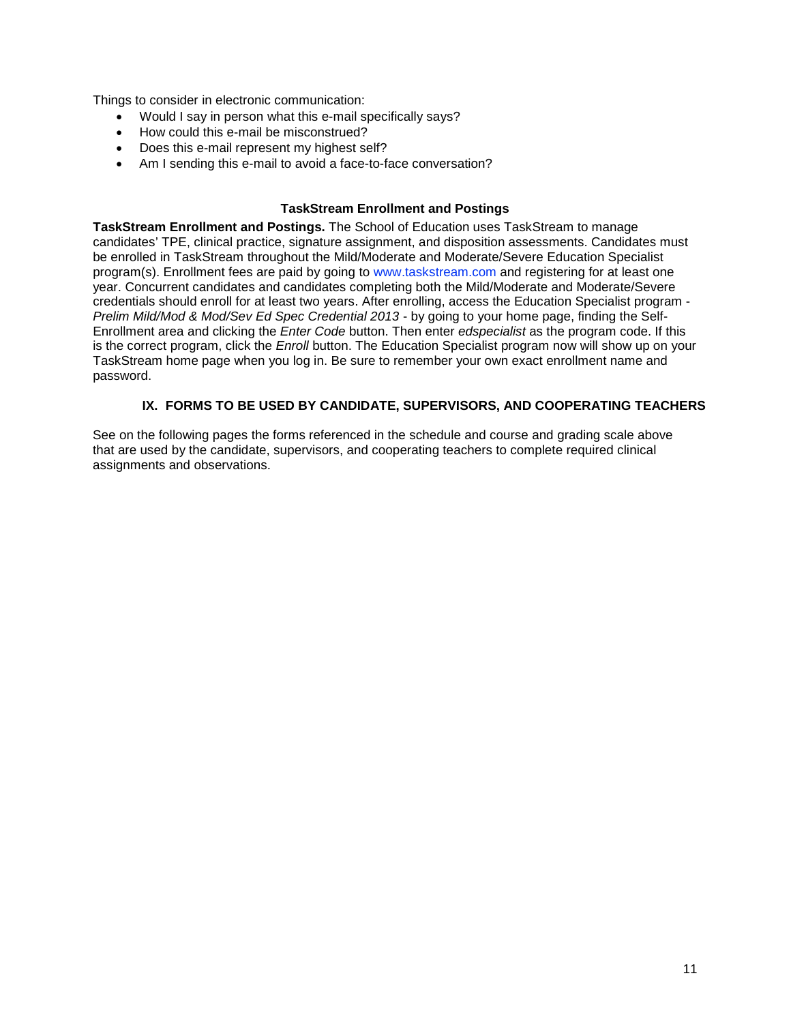Things to consider in electronic communication:

- Would I say in person what this e-mail specifically says?
- How could this e-mail be misconstrued?
- Does this e-mail represent my highest self?
- Am I sending this e-mail to avoid a face-to-face conversation?

### **TaskStream Enrollment and Postings**

<span id="page-10-0"></span>**TaskStream Enrollment and Postings.** The School of Education uses TaskStream to manage candidates' TPE, clinical practice, signature assignment, and disposition assessments. Candidates must be enrolled in TaskStream throughout the Mild/Moderate and Moderate/Severe Education Specialist program(s). Enrollment fees are paid by going to [www.taskstream.com](http://www.taskstrem.com/) and registering for at least one year. Concurrent candidates and candidates completing both the Mild/Moderate and Moderate/Severe credentials should enroll for at least two years. After enrolling, access the Education Specialist program - *Prelim Mild/Mod & Mod/Sev Ed Spec Credential 2013* - by going to your home page, finding the Self-Enrollment area and clicking the *Enter Code* button. Then enter *edspecialist* as the program code. If this is the correct program, click the *Enroll* button. The Education Specialist program now will show up on your TaskStream home page when you log in. Be sure to remember your own exact enrollment name and password.

## **IX. FORMS TO BE USED BY CANDIDATE, SUPERVISORS, AND COOPERATING TEACHERS**

<span id="page-10-1"></span>See on the following pages the forms referenced in the schedule and course and grading scale above that are used by the candidate, supervisors, and cooperating teachers to complete required clinical assignments and observations.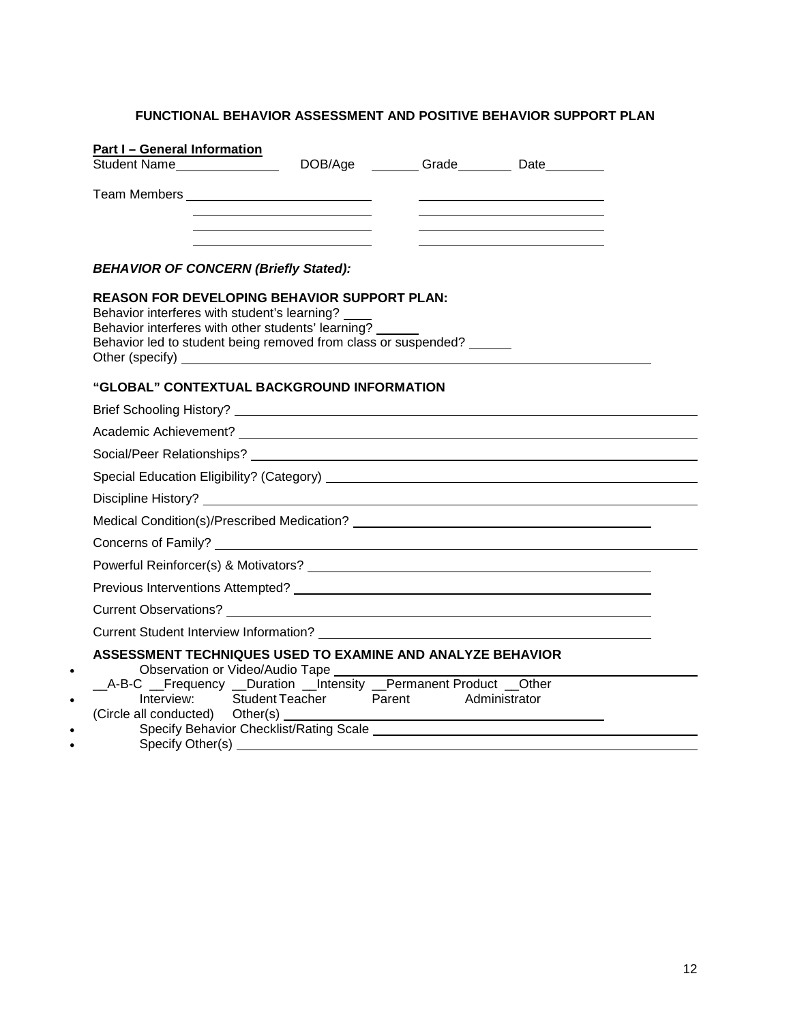# <span id="page-11-0"></span>**FUNCTIONAL BEHAVIOR ASSESSMENT AND POSITIVE BEHAVIOR SUPPORT PLAN**

| Part I - General Information<br>Student Name <sub>___</sub> ______________                                                                                                                                                  |                        |               | DOB/Age ________ Grade_________ Date_________ |  |
|-----------------------------------------------------------------------------------------------------------------------------------------------------------------------------------------------------------------------------|------------------------|---------------|-----------------------------------------------|--|
| Team Members __________________________________                                                                                                                                                                             |                        |               |                                               |  |
|                                                                                                                                                                                                                             |                        |               |                                               |  |
| <b>BEHAVIOR OF CONCERN (Briefly Stated):</b>                                                                                                                                                                                |                        |               |                                               |  |
| <b>REASON FOR DEVELOPING BEHAVIOR SUPPORT PLAN:</b><br>Behavior interferes with student's learning?<br>Behavior interferes with other students' learning?<br>Behavior led to student being removed from class or suspended? |                        |               |                                               |  |
| "GLOBAL" CONTEXTUAL BACKGROUND INFORMATION                                                                                                                                                                                  |                        |               |                                               |  |
|                                                                                                                                                                                                                             |                        |               |                                               |  |
|                                                                                                                                                                                                                             |                        |               |                                               |  |
|                                                                                                                                                                                                                             |                        |               |                                               |  |
|                                                                                                                                                                                                                             |                        |               |                                               |  |
|                                                                                                                                                                                                                             |                        |               |                                               |  |
|                                                                                                                                                                                                                             |                        |               |                                               |  |
|                                                                                                                                                                                                                             |                        |               |                                               |  |
|                                                                                                                                                                                                                             |                        |               |                                               |  |
|                                                                                                                                                                                                                             |                        |               |                                               |  |
|                                                                                                                                                                                                                             |                        |               |                                               |  |
|                                                                                                                                                                                                                             |                        |               |                                               |  |
| ASSESSMENT TECHNIQUES USED TO EXAMINE AND ANALYZE BEHAVIOR                                                                                                                                                                  |                        |               |                                               |  |
| _A-B-C _Frequency _Duration _Intensity _Permanent Product _Other<br>Interview:<br>(Circle all conducted) Other(s) _                                                                                                         | Student Teacher Parent | Administrator |                                               |  |
| $On a bit. \bigcap_{i=1}^{n} A_i$                                                                                                                                                                                           |                        |               |                                               |  |

• Specify Other(s)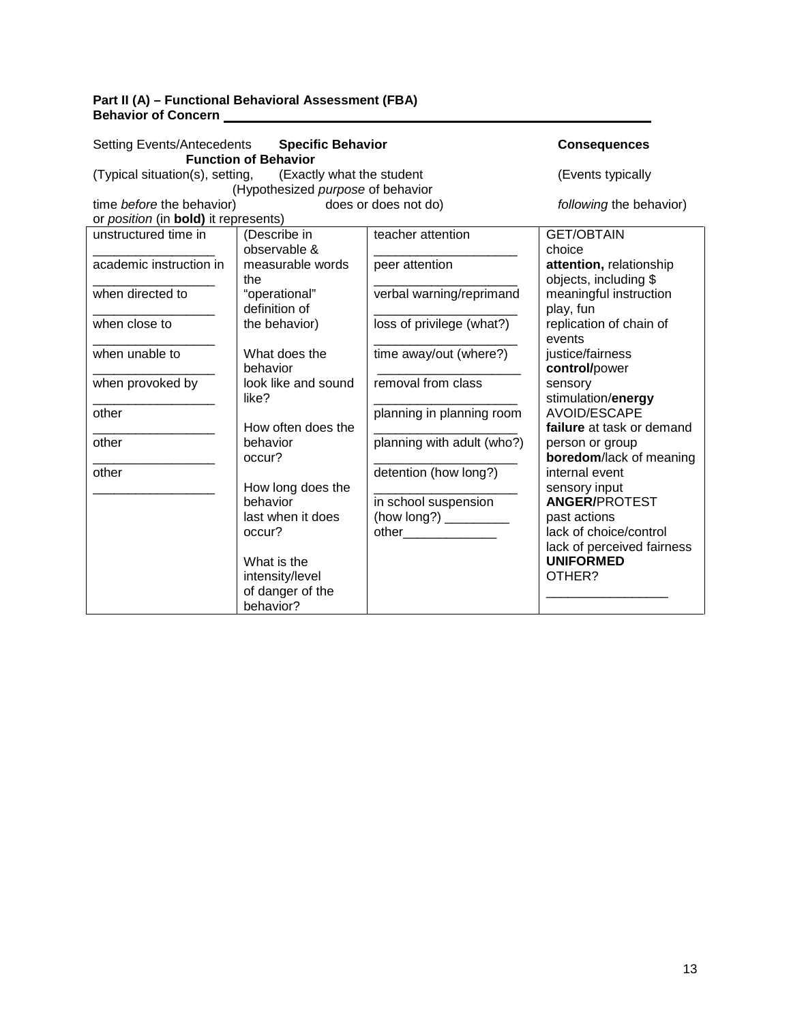## **Part II (A) – Functional Behavioral Assessment (FBA) Behavior of Concern**

| <b>Setting Events/Antecedents</b>                         | <b>Consequences</b>               |                            |                                                |  |  |  |  |  |  |  |  |  |  |
|-----------------------------------------------------------|-----------------------------------|----------------------------|------------------------------------------------|--|--|--|--|--|--|--|--|--|--|
|                                                           | <b>Function of Behavior</b>       |                            |                                                |  |  |  |  |  |  |  |  |  |  |
| (Typical situation(s), setting, (Exactly what the student |                                   |                            | (Events typically                              |  |  |  |  |  |  |  |  |  |  |
|                                                           | (Hypothesized purpose of behavior |                            |                                                |  |  |  |  |  |  |  |  |  |  |
| time before the behavior)                                 | does or does not do)              | following the behavior)    |                                                |  |  |  |  |  |  |  |  |  |  |
| or position (in bold) it represents)                      |                                   |                            |                                                |  |  |  |  |  |  |  |  |  |  |
| unstructured time in                                      | (Describe in                      | teacher attention          | <b>GET/OBTAIN</b>                              |  |  |  |  |  |  |  |  |  |  |
|                                                           | observable &                      |                            | choice                                         |  |  |  |  |  |  |  |  |  |  |
| academic instruction in                                   | measurable words                  | peer attention             | attention, relationship                        |  |  |  |  |  |  |  |  |  |  |
|                                                           | the                               |                            | objects, including \$                          |  |  |  |  |  |  |  |  |  |  |
| when directed to                                          | "operational"                     | verbal warning/reprimand   | meaningful instruction                         |  |  |  |  |  |  |  |  |  |  |
|                                                           | definition of                     |                            | play, fun                                      |  |  |  |  |  |  |  |  |  |  |
| when close to                                             | the behavior)                     | loss of privilege (what?)  | replication of chain of                        |  |  |  |  |  |  |  |  |  |  |
|                                                           |                                   |                            | events                                         |  |  |  |  |  |  |  |  |  |  |
| when unable to                                            | What does the                     | time away/out (where?)     | justice/fairness                               |  |  |  |  |  |  |  |  |  |  |
|                                                           | behavior                          |                            | control/power                                  |  |  |  |  |  |  |  |  |  |  |
| when provoked by                                          | look like and sound               | removal from class         | sensory                                        |  |  |  |  |  |  |  |  |  |  |
|                                                           | like?                             |                            | stimulation/energy                             |  |  |  |  |  |  |  |  |  |  |
| other                                                     |                                   | planning in planning room  | <b>AVOID/ESCAPE</b>                            |  |  |  |  |  |  |  |  |  |  |
|                                                           | How often does the                |                            | failure at task or demand                      |  |  |  |  |  |  |  |  |  |  |
| other                                                     | behavior                          | planning with adult (who?) | person or group                                |  |  |  |  |  |  |  |  |  |  |
|                                                           | occur?                            |                            | boredom/lack of meaning                        |  |  |  |  |  |  |  |  |  |  |
| other                                                     |                                   | detention (how long?)      | internal event                                 |  |  |  |  |  |  |  |  |  |  |
|                                                           | How long does the                 |                            | sensory input                                  |  |  |  |  |  |  |  |  |  |  |
|                                                           | behavior                          | in school suspension       | <b>ANGER/PROTEST</b>                           |  |  |  |  |  |  |  |  |  |  |
|                                                           | last when it does                 |                            | past actions                                   |  |  |  |  |  |  |  |  |  |  |
|                                                           | occur?                            |                            | lack of choice/control                         |  |  |  |  |  |  |  |  |  |  |
|                                                           | What is the                       |                            | lack of perceived fairness<br><b>UNIFORMED</b> |  |  |  |  |  |  |  |  |  |  |
|                                                           |                                   |                            | OTHER?                                         |  |  |  |  |  |  |  |  |  |  |
|                                                           | intensity/level                   |                            |                                                |  |  |  |  |  |  |  |  |  |  |
|                                                           | of danger of the<br>behavior?     |                            |                                                |  |  |  |  |  |  |  |  |  |  |
|                                                           |                                   |                            |                                                |  |  |  |  |  |  |  |  |  |  |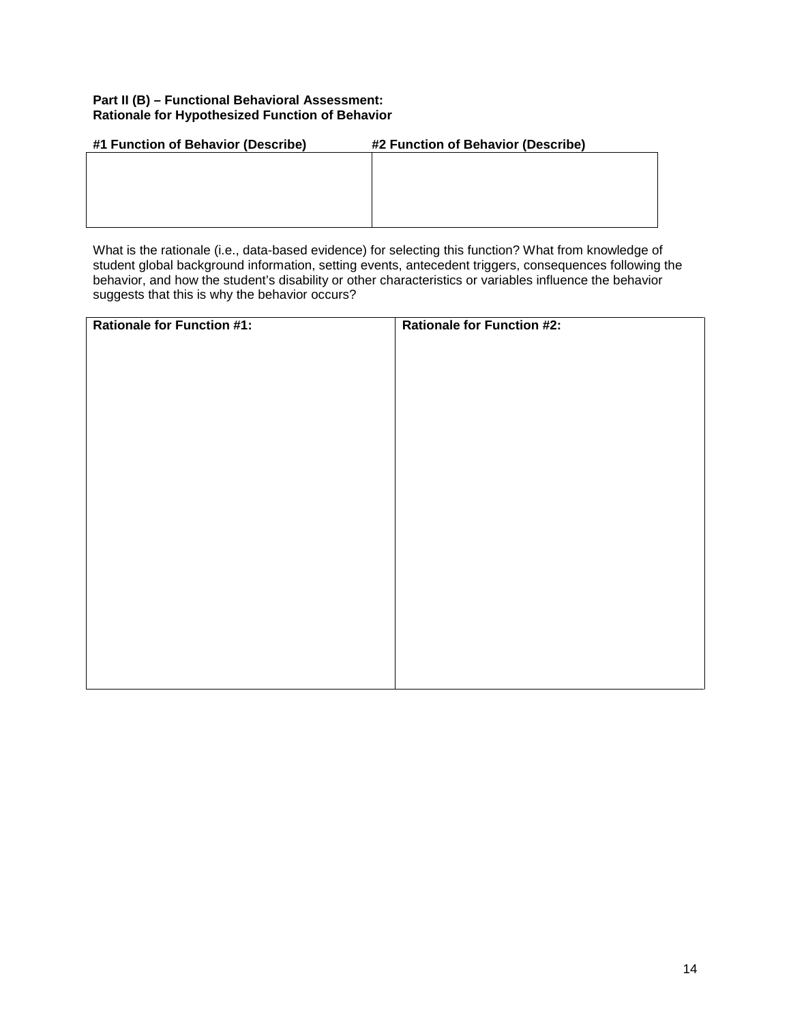## **Part II (B) – Functional Behavioral Assessment: Rationale for Hypothesized Function of Behavior**

| #1 Function of Behavior (Describe) | #2 Function of Behavior (Describe) |
|------------------------------------|------------------------------------|
|                                    |                                    |
|                                    |                                    |
|                                    |                                    |
|                                    |                                    |
|                                    |                                    |

What is the rationale (i.e., data-based evidence) for selecting this function? What from knowledge of student global background information, setting events, antecedent triggers, consequences following the behavior, and how the student's disability or other characteristics or variables influence the behavior suggests that this is why the behavior occurs?

| <b>Rationale for Function #1:</b> | <b>Rationale for Function #2:</b> |
|-----------------------------------|-----------------------------------|
|                                   |                                   |
|                                   |                                   |
|                                   |                                   |
|                                   |                                   |
|                                   |                                   |
|                                   |                                   |
|                                   |                                   |
|                                   |                                   |
|                                   |                                   |
|                                   |                                   |
|                                   |                                   |
|                                   |                                   |
|                                   |                                   |
|                                   |                                   |
|                                   |                                   |
|                                   |                                   |
|                                   |                                   |
|                                   |                                   |
|                                   |                                   |
|                                   |                                   |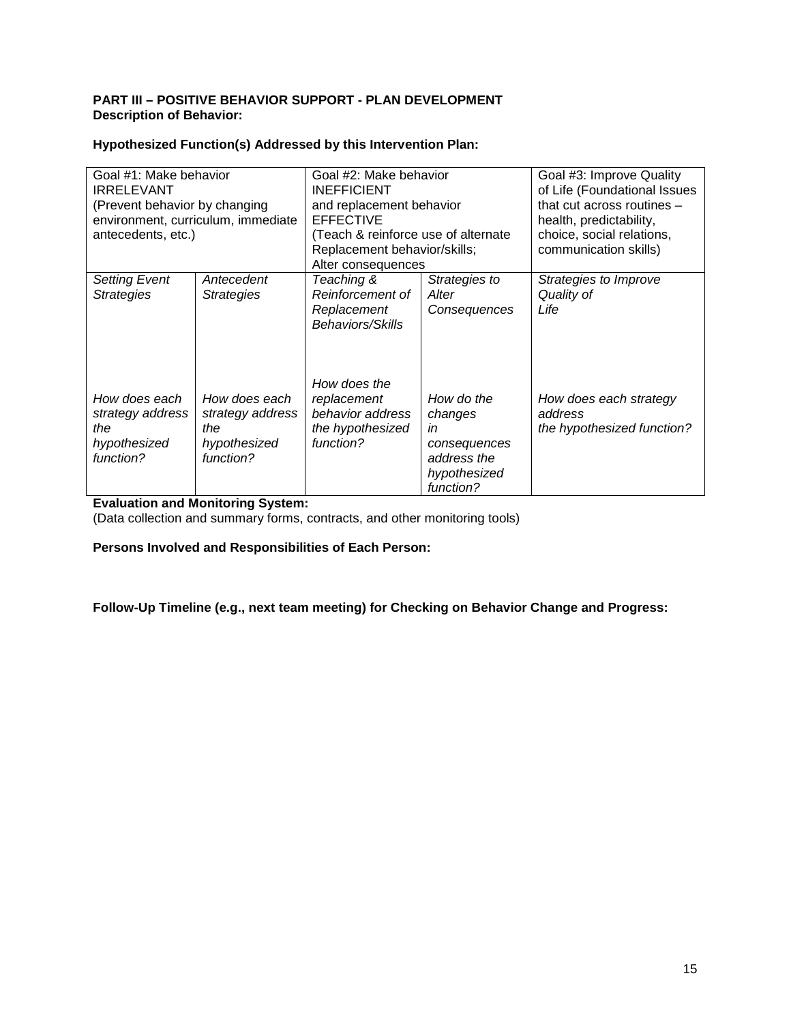## **PART III – POSITIVE BEHAVIOR SUPPORT - PLAN DEVELOPMENT Description of Behavior:**

| Hypothesized Function(s) Addressed by this Intervention Plan: |  |  |  |
|---------------------------------------------------------------|--|--|--|
|                                                               |  |  |  |

| Goal #1: Make behavior<br><b>IRRELEVANT</b><br>(Prevent behavior by changing<br>antecedents, etc.) | environment, curriculum, immediate                                    | Goal #2: Make behavior<br><b>INEFFICIENT</b><br>and replacement behavior<br><b>EFFECTIVE</b><br>(Teach & reinforce use of alternate<br>Replacement behavior/skills;<br>Alter consequences |                                                                                         | Goal #3: Improve Quality<br>of Life (Foundational Issues<br>that cut across routines $-$<br>health, predictability,<br>choice, social relations,<br>communication skills) |  |  |  |  |
|----------------------------------------------------------------------------------------------------|-----------------------------------------------------------------------|-------------------------------------------------------------------------------------------------------------------------------------------------------------------------------------------|-----------------------------------------------------------------------------------------|---------------------------------------------------------------------------------------------------------------------------------------------------------------------------|--|--|--|--|
| <b>Setting Event</b><br><b>Strategies</b>                                                          | Antecedent<br><b>Strategies</b>                                       | Teaching &<br>Reinforcement of<br>Replacement<br>Behaviors/Skills<br>How does the                                                                                                         | Strategies to<br>Alter<br>Consequences                                                  | Strategies to Improve<br>Quality of<br>Life                                                                                                                               |  |  |  |  |
| How does each<br>strategy address<br>the<br>hypothesized<br>function?                              | How does each<br>strategy address<br>the<br>hypothesized<br>function? | replacement<br>behavior address<br>the hypothesized<br>function?                                                                                                                          | How do the<br>changes<br>in<br>consequences<br>address the<br>hypothesized<br>function? | How does each strategy<br>address<br>the hypothesized function?                                                                                                           |  |  |  |  |

# **Evaluation and Monitoring System:**

(Data collection and summary forms, contracts, and other monitoring tools)

**Persons Involved and Responsibilities of Each Person:**

**Follow-Up Timeline (e.g., next team meeting) for Checking on Behavior Change and Progress:**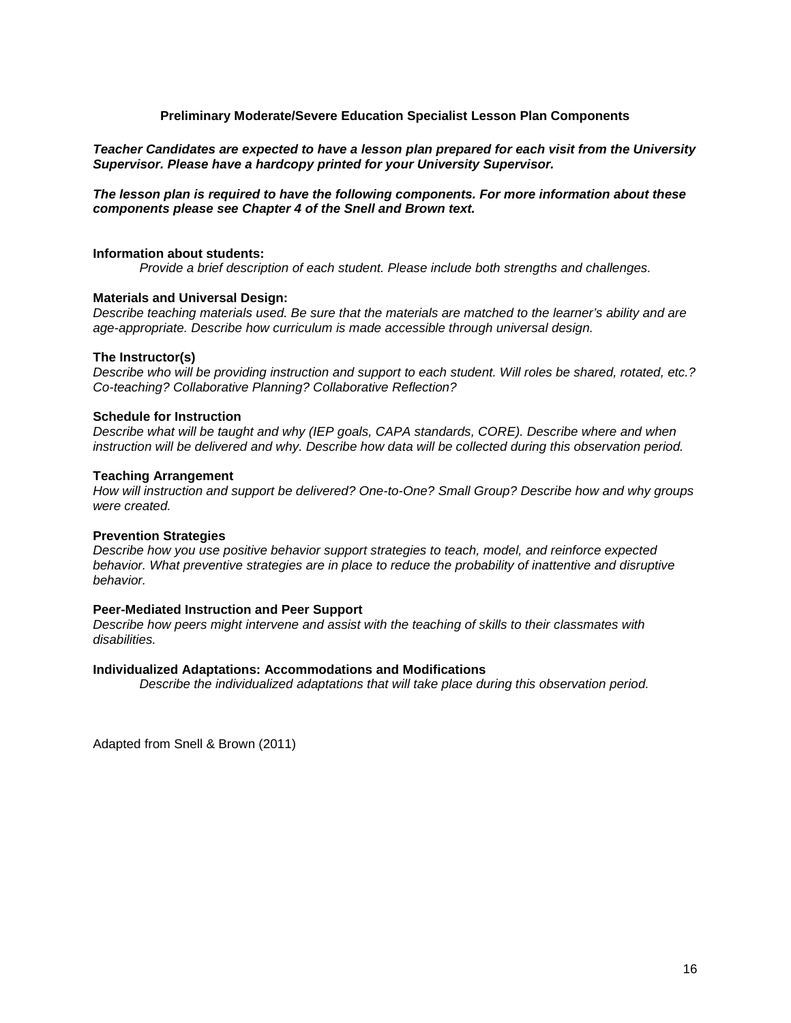### **Preliminary Moderate/Severe Education Specialist Lesson Plan Components**

### <span id="page-15-0"></span>*Teacher Candidates are expected to have a lesson plan prepared for each visit from the University Supervisor. Please have a hardcopy printed for your University Supervisor.*

#### *The lesson plan is required to have the following components. For more information about these components please see Chapter 4 of the Snell and Brown text.*

#### **Information about students:**

*Provide a brief description of each student. Please include both strengths and challenges.* 

#### **Materials and Universal Design:**

*Describe teaching materials used. Be sure that the materials are matched to the learner's ability and are age-appropriate. Describe how curriculum is made accessible through universal design.* 

#### **The Instructor(s)**

*Describe who will be providing instruction and support to each student. Will roles be shared, rotated, etc.? Co-teaching? Collaborative Planning? Collaborative Reflection?* 

#### **Schedule for Instruction**

*Describe what will be taught and why (IEP goals, CAPA standards, CORE). Describe where and when instruction will be delivered and why. Describe how data will be collected during this observation period.* 

#### **Teaching Arrangement**

*How will instruction and support be delivered? One-to-One? Small Group? Describe how and why groups were created.*

#### **Prevention Strategies**

*Describe how you use positive behavior support strategies to teach, model, and reinforce expected behavior. What preventive strategies are in place to reduce the probability of inattentive and disruptive behavior.* 

#### **Peer-Mediated Instruction and Peer Support**

*Describe how peers might intervene and assist with the teaching of skills to their classmates with disabilities.* 

#### **Individualized Adaptations: Accommodations and Modifications**

*Describe the individualized adaptations that will take place during this observation period.* 

Adapted from Snell & Brown (2011)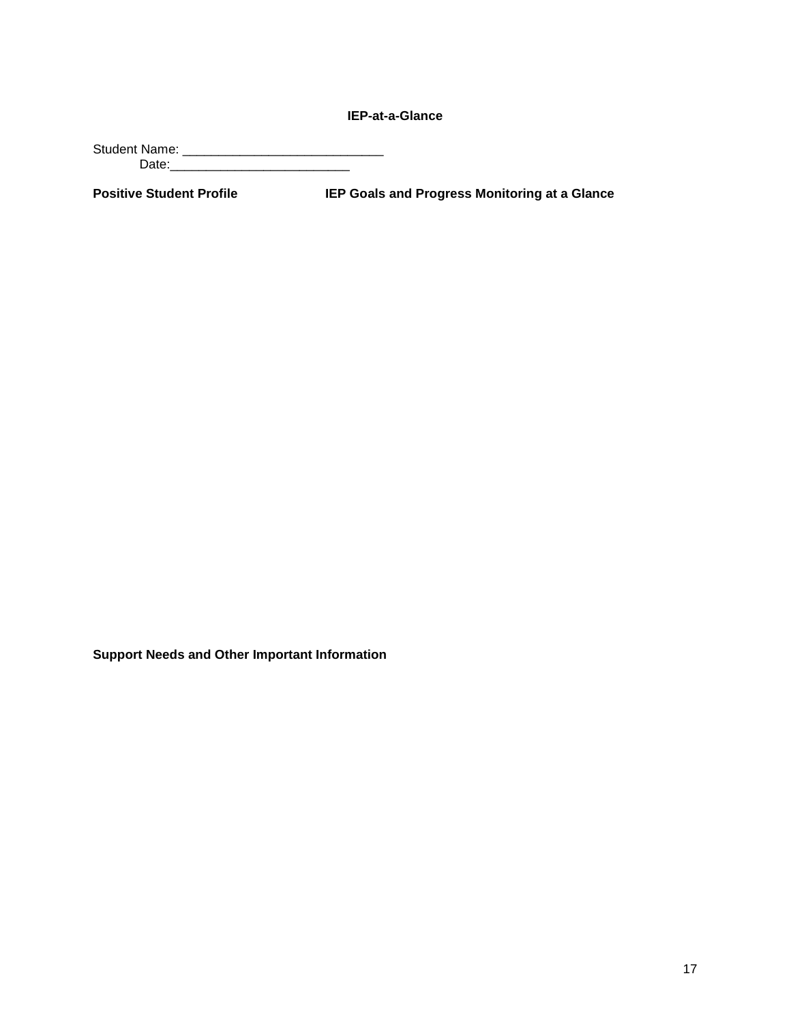**IEP-at-a-Glance**

<span id="page-16-0"></span>Student Name: \_\_\_\_\_\_\_\_\_\_\_\_\_\_\_\_\_\_\_\_\_\_\_\_\_\_\_\_ Date:\_\_\_\_\_\_\_\_\_\_\_\_\_\_\_\_\_\_\_\_\_\_\_\_\_

**Positive Student Profile IEP Goals and Progress Monitoring at a Glance**

**Support Needs and Other Important Information**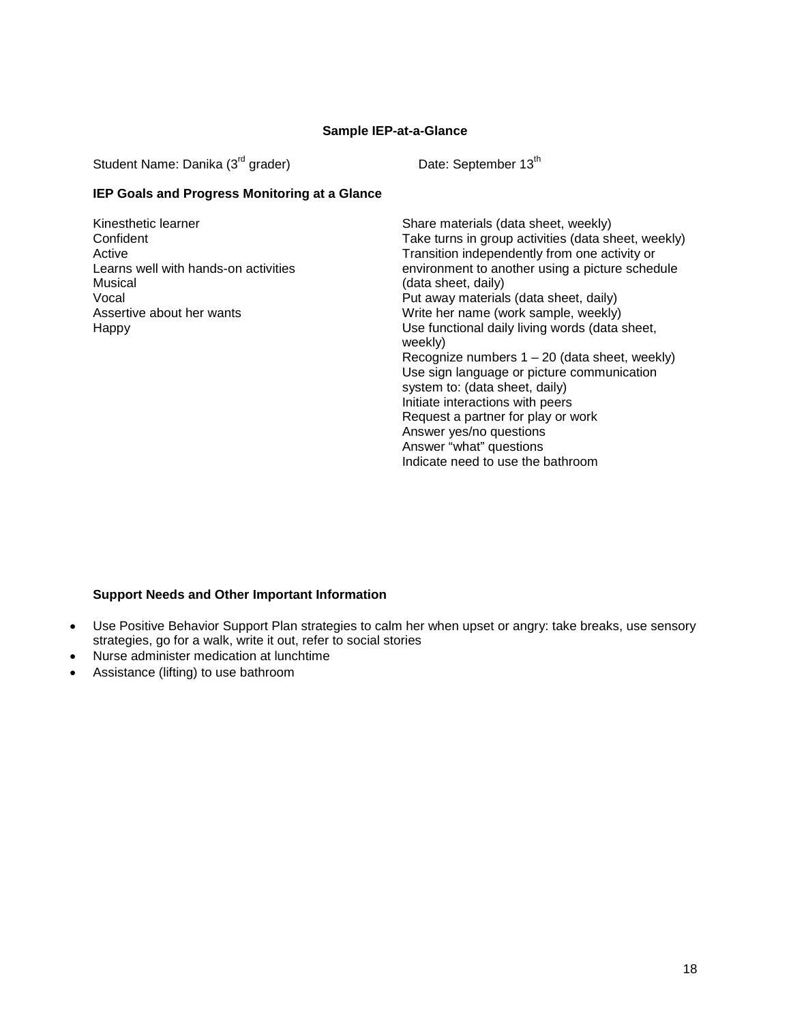### **Sample IEP-at-a-Glance**

<span id="page-17-0"></span>Student Name: Danika (3<sup>rd</sup> grader) Date: September 13<sup>th</sup>

## **IEP Goals and Progress Monitoring at a Glance**

Kinesthetic learner **Confident** Active Learns well with hands-on activities Musical Vocal Assertive about her wants Happy

Share materials (data sheet, weekly) Take turns in group activities (data sheet, weekly) Transition independently from one activity or environment to another using a picture schedule (data sheet, daily) Put away materials (data sheet, daily) Write her name (work sample, weekly) Use functional daily living words (data sheet, weekly) Recognize numbers  $1 - 20$  (data sheet, weekly) Use sign language or picture communication system to: (data sheet, daily) Initiate interactions with peers Request a partner for play or work Answer yes/no questions Answer "what" questions Indicate need to use the bathroom

### **Support Needs and Other Important Information**

- Use Positive Behavior Support Plan strategies to calm her when upset or angry: take breaks, use sensory strategies, go for a walk, write it out, refer to social stories
- Nurse administer medication at lunchtime
- Assistance (lifting) to use bathroom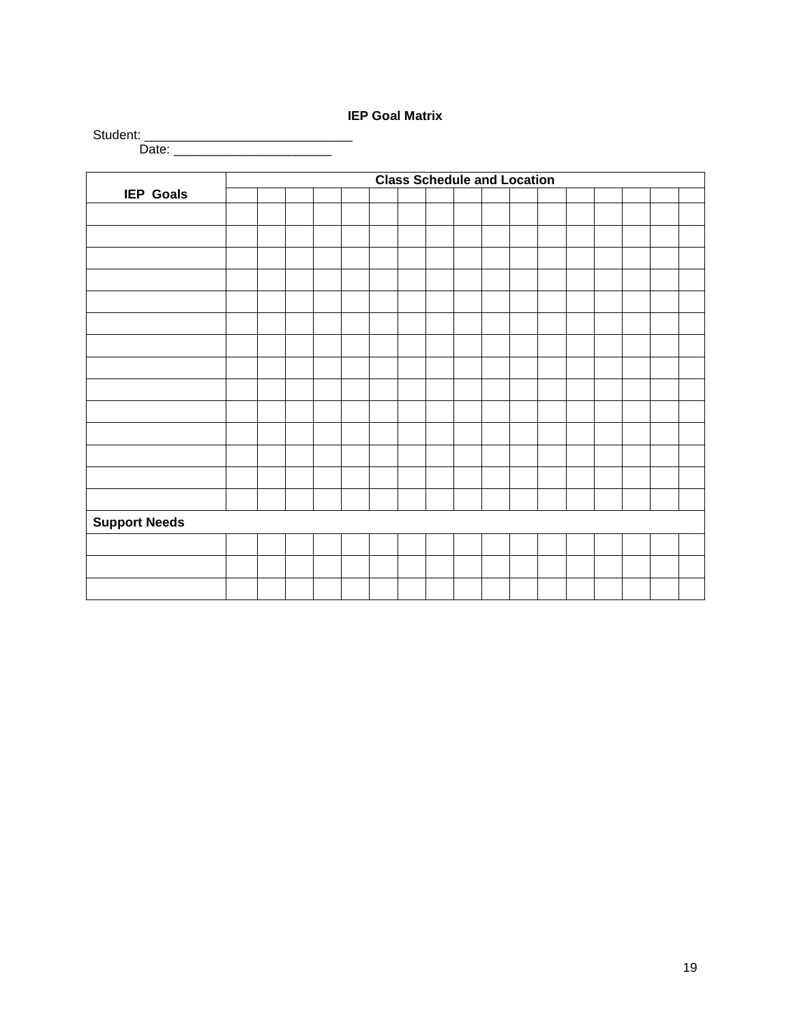# **IEP Goal Matrix**

<span id="page-18-0"></span>

|                      |  |  |  | <b>Class Schedule and Location</b> |  |  |  |  |  |
|----------------------|--|--|--|------------------------------------|--|--|--|--|--|
| <b>IEP Goals</b>     |  |  |  |                                    |  |  |  |  |  |
|                      |  |  |  |                                    |  |  |  |  |  |
|                      |  |  |  |                                    |  |  |  |  |  |
|                      |  |  |  |                                    |  |  |  |  |  |
|                      |  |  |  |                                    |  |  |  |  |  |
|                      |  |  |  |                                    |  |  |  |  |  |
|                      |  |  |  |                                    |  |  |  |  |  |
|                      |  |  |  |                                    |  |  |  |  |  |
|                      |  |  |  |                                    |  |  |  |  |  |
|                      |  |  |  |                                    |  |  |  |  |  |
|                      |  |  |  |                                    |  |  |  |  |  |
|                      |  |  |  |                                    |  |  |  |  |  |
|                      |  |  |  |                                    |  |  |  |  |  |
|                      |  |  |  |                                    |  |  |  |  |  |
|                      |  |  |  |                                    |  |  |  |  |  |
|                      |  |  |  |                                    |  |  |  |  |  |
|                      |  |  |  |                                    |  |  |  |  |  |
|                      |  |  |  |                                    |  |  |  |  |  |
|                      |  |  |  |                                    |  |  |  |  |  |
|                      |  |  |  |                                    |  |  |  |  |  |
|                      |  |  |  |                                    |  |  |  |  |  |
|                      |  |  |  |                                    |  |  |  |  |  |
|                      |  |  |  |                                    |  |  |  |  |  |
|                      |  |  |  |                                    |  |  |  |  |  |
|                      |  |  |  |                                    |  |  |  |  |  |
| <b>Support Needs</b> |  |  |  |                                    |  |  |  |  |  |
|                      |  |  |  |                                    |  |  |  |  |  |
|                      |  |  |  |                                    |  |  |  |  |  |
|                      |  |  |  |                                    |  |  |  |  |  |
|                      |  |  |  |                                    |  |  |  |  |  |
|                      |  |  |  |                                    |  |  |  |  |  |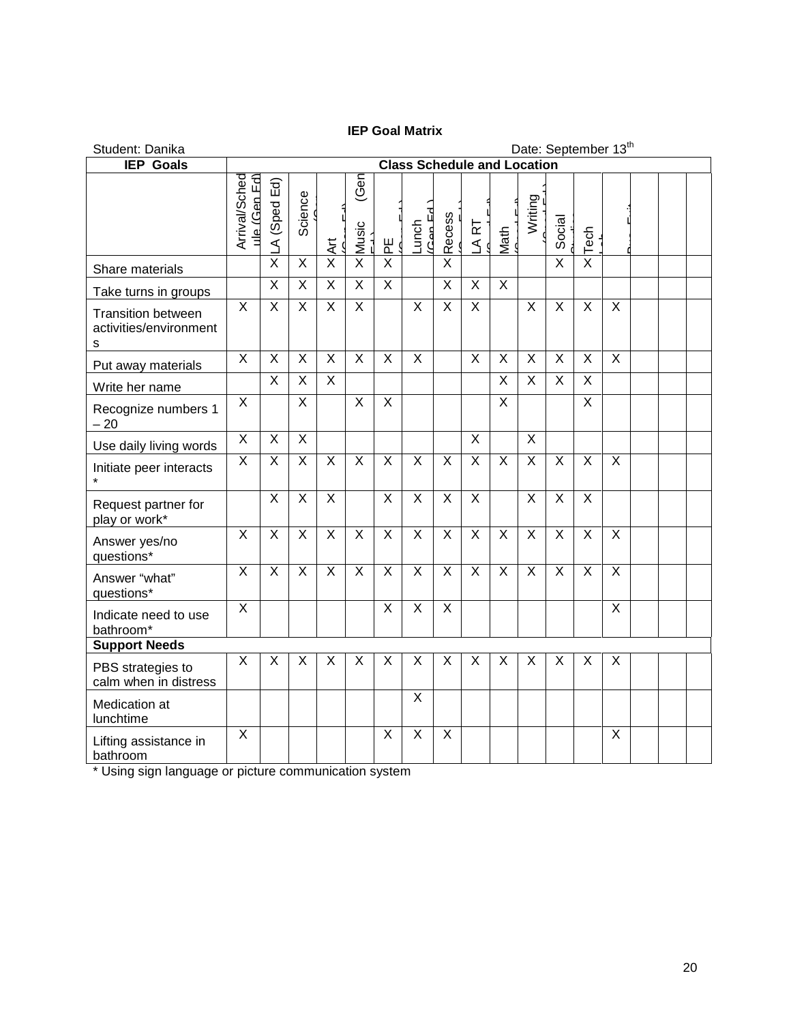# **IEP Goal Matrix**

<span id="page-19-0"></span>

| Student: Danika                                          | Date: September 13 <sup>th</sup> |                                    |                         |                          |                         |                         |                       |                           |                         |                           |                         |                         |                           |                         |  |  |
|----------------------------------------------------------|----------------------------------|------------------------------------|-------------------------|--------------------------|-------------------------|-------------------------|-----------------------|---------------------------|-------------------------|---------------------------|-------------------------|-------------------------|---------------------------|-------------------------|--|--|
| <b>IEP</b> Goals                                         |                                  | <b>Class Schedule and Location</b> |                         |                          |                         |                         |                       |                           |                         |                           |                         |                         |                           |                         |  |  |
|                                                          | Arrival/Sched<br>ule (Gen Ed)    | Ed)<br>A (Sped                     | Science                 | $\overline{\mathcal{A}}$ | (Gen<br>Music<br>-      | <u>)</u> 일              | $($ $Can Ed$<br>Lunch | <b>Recess</b>             | LART                    | Math                      | Writing                 | Social                  | $\times$ Tech             |                         |  |  |
| Share materials                                          |                                  | $\overline{\mathsf{x}}$            | $\overline{X}$          | $\overline{\mathsf{x}}$  | $\overline{\mathsf{x}}$ | $\overline{\mathsf{x}}$ |                       | $\overline{\mathsf{x}}$   |                         |                           |                         | $\overline{\mathsf{x}}$ |                           |                         |  |  |
| Take turns in groups                                     |                                  | $\overline{\mathsf{x}}$            | X                       | $\overline{\mathsf{x}}$  | $\overline{\mathsf{x}}$ | X                       |                       | $\sf X$                   | X                       | $\overline{X}$            |                         |                         |                           |                         |  |  |
| <b>Transition between</b><br>activities/environment<br>S | $\overline{\mathsf{x}}$          | $\overline{X}$                     | $\overline{X}$          | $\overline{\mathsf{x}}$  | $\overline{X}$          |                         | $\overline{X}$        | $\overline{\mathsf{x}}$   | $\overline{\mathsf{x}}$ |                           | $\overline{X}$          | $\overline{\mathsf{X}}$ | $\overline{X}$            | $\overline{\mathsf{x}}$ |  |  |
| Put away materials                                       | X                                | $\sf X$                            | X                       | X                        | X                       | X                       | X                     |                           | X                       | $\sf X$                   | $\mathsf{X}$            | X                       | $\boldsymbol{\mathsf{X}}$ | $\sf X$                 |  |  |
| Write her name                                           |                                  | $\overline{\mathsf{x}}$            | $\overline{X}$          | $\overline{X}$           |                         |                         |                       |                           |                         | $\overline{\mathsf{x}}$   | $\overline{X}$          | $\overline{\mathsf{x}}$ | $\overline{\mathsf{x}}$   |                         |  |  |
| Recognize numbers 1<br>$-20$                             | X                                |                                    | $\overline{\mathsf{x}}$ |                          | $\overline{X}$          | $\overline{\mathsf{x}}$ |                       |                           |                         | $\overline{\mathsf{x}}$   |                         |                         | $\overline{X}$            |                         |  |  |
| Use daily living words                                   | $\overline{\mathsf{x}}$          | $\overline{\mathsf{x}}$            | $\overline{X}$          |                          |                         |                         |                       |                           | $\overline{\mathsf{x}}$ |                           | $\overline{\mathsf{x}}$ |                         |                           |                         |  |  |
| Initiate peer interacts                                  | X                                | X                                  | X                       | X                        | $\sf X$                 | X                       | X                     | $\sf X$                   | X                       | X                         | X                       | X                       | $\boldsymbol{\mathsf{X}}$ | X                       |  |  |
| Request partner for<br>play or work*                     |                                  | X                                  | X                       | X                        |                         | $\overline{\mathsf{x}}$ | $\mathsf{X}$          | $\sf X$                   | $\sf X$                 |                           | $\mathsf{X}$            | X                       | $\overline{X}$            |                         |  |  |
| Answer yes/no<br>questions*                              | $\overline{X}$                   | $\overline{X}$                     | X                       | $\overline{X}$           | $\overline{X}$          | $\overline{X}$          | $\overline{X}$        | $\overline{\mathsf{x}}$   | $\overline{X}$          | $\boldsymbol{\mathsf{X}}$ | $\mathsf{X}$            | $\overline{X}$          | $\overline{X}$            | $\overline{X}$          |  |  |
| Answer "what"<br>questions*                              | $\times$                         | $\overline{\mathsf{x}}$            | X                       | X                        | X                       | $\overline{X}$          | X                     | $\boldsymbol{\mathsf{X}}$ | X                       | $\boldsymbol{\mathsf{X}}$ | $\sf X$                 | X                       | $\boldsymbol{\mathsf{X}}$ | X                       |  |  |
| Indicate need to use<br>bathroom*                        | X                                |                                    |                         |                          |                         | X                       | X                     | X                         |                         |                           |                         |                         |                           | X                       |  |  |
| <b>Support Needs</b>                                     |                                  |                                    |                         |                          |                         |                         |                       |                           |                         |                           |                         |                         |                           |                         |  |  |
| PBS strategies to<br>calm when in distress               | X                                | X                                  | X                       | X                        | $\sf X$                 | X                       | X                     | $\sf X$                   | X                       | X                         | X                       | X                       | $\sf X$                   | X                       |  |  |
| Medication at<br>lunchtime                               |                                  |                                    |                         |                          |                         |                         | X                     |                           |                         |                           |                         |                         |                           |                         |  |  |
| Lifting assistance in<br>bathroom                        | X                                |                                    |                         |                          |                         | $\sf X$                 | $\mathsf X$           | $\boldsymbol{\mathsf{X}}$ |                         |                           |                         |                         |                           | X                       |  |  |

\* Using sign language or picture communication system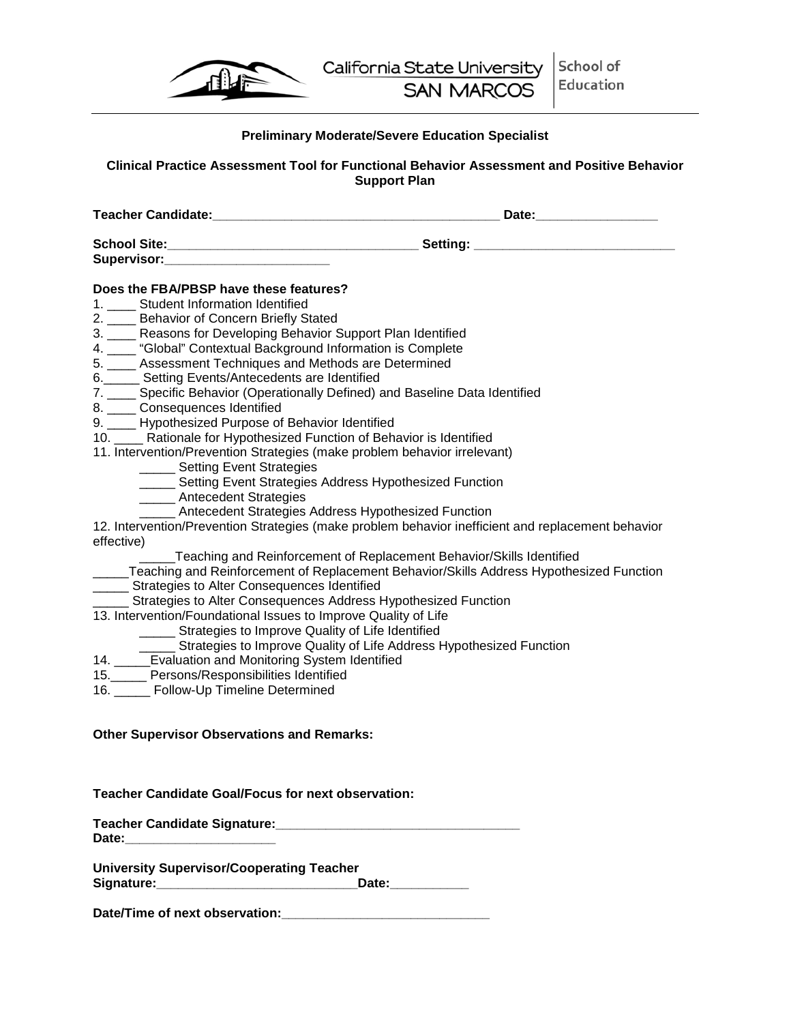| ⊀≹¦ा |
|------|
|      |

## **Preliminary Moderate/Severe Education Specialist**

<span id="page-20-0"></span>**Clinical Practice Assessment Tool for Functional Behavior Assessment and Positive Behavior Support Plan**

**Teacher Candidate: Teacher Candidate: Teacher Candidate: Teacher Candidate: Teacher Candidate: Teacher Candidate: Teacher Candidate: Teacher Candidate: Teacher Candidate: Teacher Candidate: T** 

**School Site:\_\_\_\_\_\_\_\_\_\_\_\_\_\_\_\_\_\_\_\_\_\_\_\_\_\_\_\_\_\_\_\_\_\_\_ Setting: \_\_\_\_\_\_\_\_\_\_\_\_\_\_\_\_\_\_\_\_\_\_\_\_\_\_\_\_**  Supervisor:

## **Does the FBA/PBSP have these features?**

- 1. Student Information Identified
- 2. \_\_\_\_ Behavior of Concern Briefly Stated
- 3. \_\_\_\_ Reasons for Developing Behavior Support Plan Identified
- 4. \_\_\_\_ "Global" Contextual Background Information is Complete
- 5. \_\_\_\_ Assessment Techniques and Methods are Determined
- 6.\_\_\_\_\_ Setting Events/Antecedents are Identified
- 7. \_\_\_\_ Specific Behavior (Operationally Defined) and Baseline Data Identified
- 8. \_\_\_\_ Consequences Identified
- 9. \_\_\_\_ Hypothesized Purpose of Behavior Identified
- 10. \_\_\_\_ Rationale for Hypothesized Function of Behavior is Identified
- 11. Intervention/Prevention Strategies (make problem behavior irrelevant)
	- \_\_\_\_\_ Setting Event Strategies
	- **\_\_\_\_\_ Setting Event Strategies Address Hypothesized Function**
	- \_\_\_\_\_ Antecedent Strategies
		- Antecedent Strategies Address Hypothesized Function

12. Intervention/Prevention Strategies (make problem behavior inefficient and replacement behavior effective)

\_\_\_\_\_Teaching and Reinforcement of Replacement Behavior/Skills Identified

- \_\_\_\_\_Teaching and Reinforcement of Replacement Behavior/Skills Address Hypothesized Function
- **\_\_\_\_\_ Strategies to Alter Consequences Identified**
- \_\_\_\_\_ Strategies to Alter Consequences Address Hypothesized Function
- 13. Intervention/Foundational Issues to Improve Quality of Life
	- **\_\_\_\_\_ Strategies to Improve Quality of Life Identified**
	- Strategies to Improve Quality of Life Address Hypothesized Function
- 14. \_\_\_\_\_Evaluation and Monitoring System Identified
- 15.\_\_\_\_\_ Persons/Responsibilities Identified
- 16. \_\_\_\_\_ Follow-Up Timeline Determined

## **Other Supervisor Observations and Remarks:**

### **Teacher Candidate Goal/Focus for next observation:**

**Teacher Candidate Signature:\_\_\_\_\_\_\_\_\_\_\_\_\_\_\_\_\_\_\_\_\_\_\_\_\_\_\_\_\_\_\_\_\_\_ Date:\_\_\_\_\_\_\_\_\_\_\_\_\_\_\_\_\_\_\_\_\_**

**University Supervisor/Cooperating Teacher**  Signature: example and the state of the state of the state of the state of the state of the state of the state of the state of the state of the state of the state of the state of the state of the state of the state of the

Date/Time of next observation: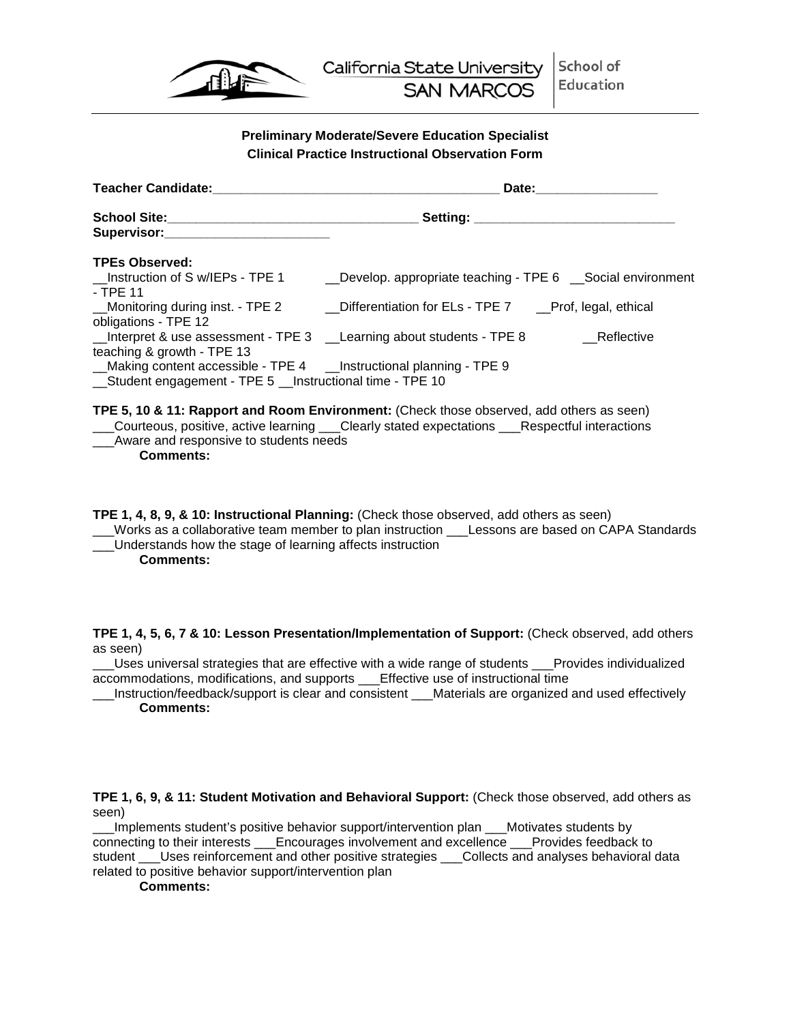

## **Preliminary Moderate/Severe Education Specialist Clinical Practice Instructional Observation Form**

<span id="page-21-1"></span><span id="page-21-0"></span>

| <b>Teacher Candidate:</b>                                                                                                         | Date:                                                                                               |            |  |
|-----------------------------------------------------------------------------------------------------------------------------------|-----------------------------------------------------------------------------------------------------|------------|--|
|                                                                                                                                   | Setting: __________________________                                                                 |            |  |
| Supervisor: Supervisor:                                                                                                           |                                                                                                     |            |  |
| <b>TPEs Observed:</b>                                                                                                             |                                                                                                     |            |  |
| __Instruction of S w/IEPs - TPE 1<br>- TPE 11                                                                                     | _Develop. appropriate teaching - TPE 6 __Social environment                                         |            |  |
| obligations - TPE 12                                                                                                              | _Monitoring during inst. - TPE 2 __________Differentiation for ELs - TPE 7 ____Prof, legal, ethical |            |  |
| teaching & growth - TPE 13                                                                                                        |                                                                                                     | Reflective |  |
| _Making content accessible - TPE 4 __Instructional planning - TPE 9<br>__Student engagement - TPE 5 __Instructional time - TPE 10 |                                                                                                     |            |  |

**TPE 5, 10 & 11: Rapport and Room Environment:** (Check those observed, add others as seen) \_\_\_Courteous, positive, active learning \_\_\_Clearly stated expectations \_\_\_Respectful interactions \_\_\_Aware and responsive to students needs

**Comments:**

**TPE 1, 4, 8, 9, & 10: Instructional Planning:** (Check those observed, add others as seen) \_\_\_Works as a collaborative team member to plan instruction \_\_\_Lessons are based on CAPA Standards \_\_\_Understands how the stage of learning affects instruction **Comments:**

**TPE 1, 4, 5, 6, 7 & 10: Lesson Presentation/Implementation of Support:** (Check observed, add others as seen)

\_\_\_Uses universal strategies that are effective with a wide range of students \_\_\_Provides individualized accommodations, modifications, and supports \_\_\_Effective use of instructional time

\_\_\_Instruction/feedback/support is clear and consistent \_\_\_Materials are organized and used effectively **Comments:**

**TPE 1, 6, 9, & 11: Student Motivation and Behavioral Support:** (Check those observed, add others as seen)

\_\_\_Implements student's positive behavior support/intervention plan \_\_\_Motivates students by connecting to their interests \_\_\_Encourages involvement and excellence \_\_\_Provides feedback to student \_\_\_\_Uses reinforcement and other positive strategies \_\_\_\_Collects and analyses behavioral data related to positive behavior support/intervention plan

**Comments:**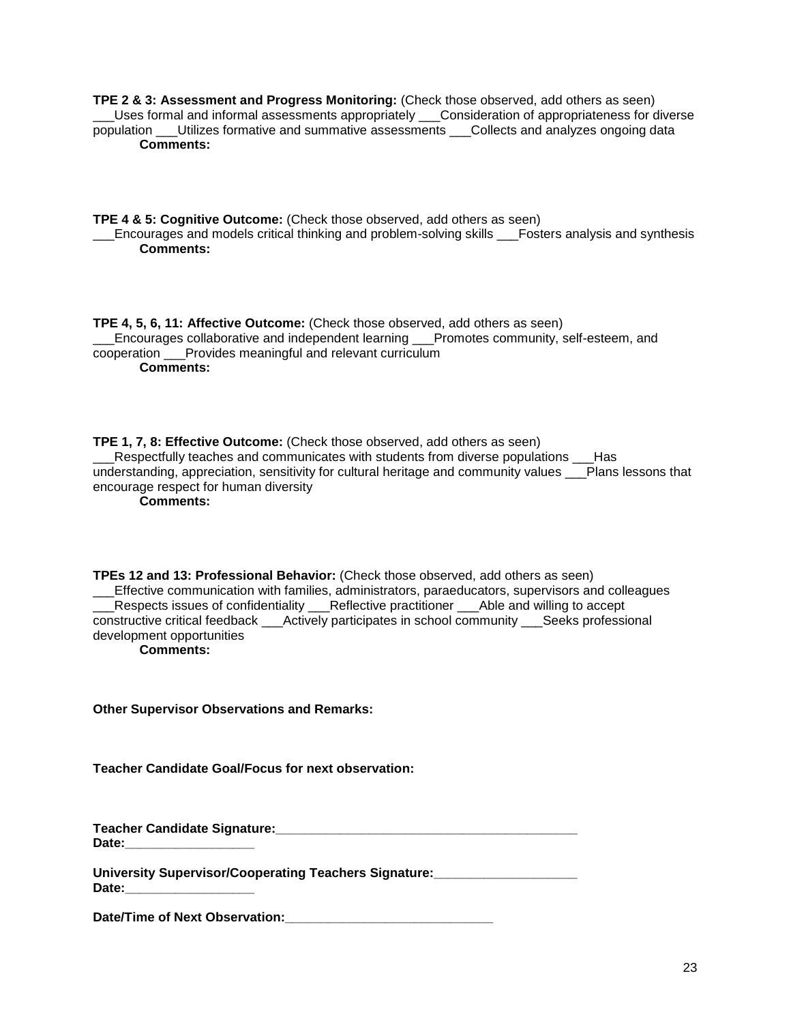**TPE 2 & 3: Assessment and Progress Monitoring:** (Check those observed, add others as seen) \_\_\_Uses formal and informal assessments appropriately \_\_\_Consideration of appropriateness for diverse population \_\_\_Utilizes formative and summative assessments \_\_\_Collects and analyzes ongoing data **Comments:**

**TPE 4 & 5: Cognitive Outcome:** (Check those observed, add others as seen) \_\_\_Encourages and models critical thinking and problem-solving skills \_\_\_Fosters analysis and synthesis **Comments:**

**TPE 4, 5, 6, 11: Affective Outcome:** (Check those observed, add others as seen) \_\_\_Encourages collaborative and independent learning \_\_\_Promotes community, self-esteem, and cooperation \_\_\_Provides meaningful and relevant curriculum **Comments:**

**TPE 1, 7, 8: Effective Outcome:** (Check those observed, add others as seen) Respectfully teaches and communicates with students from diverse populations Has understanding, appreciation, sensitivity for cultural heritage and community values Plans lessons that encourage respect for human diversity

**Comments:**

**TPEs 12 and 13: Professional Behavior:** (Check those observed, add others as seen) \_\_\_Effective communication with families, administrators, paraeducators, supervisors and colleagues \_\_\_Respects issues of confidentiality \_\_\_Reflective practitioner \_\_\_Able and willing to accept constructive critical feedback \_\_\_Actively participates in school community \_\_\_Seeks professional development opportunities **Comments:**

**Other Supervisor Observations and Remarks:**

**Teacher Candidate Goal/Focus for next observation:**

**Teacher Candidate Signature:\_\_\_\_\_\_\_\_\_\_\_\_\_\_\_\_\_\_\_\_\_\_\_\_\_\_\_\_\_\_\_\_\_\_\_\_\_\_\_\_\_\_**  Date:

**University Supervisor/Cooperating Teachers Signature:\_\_\_\_\_\_\_\_\_\_\_\_\_\_\_\_\_\_\_\_**  Date:

**Date/Time of Next Observation:\_\_\_\_\_\_\_\_\_\_\_\_\_\_\_\_\_\_\_\_\_\_\_\_\_\_\_\_\_**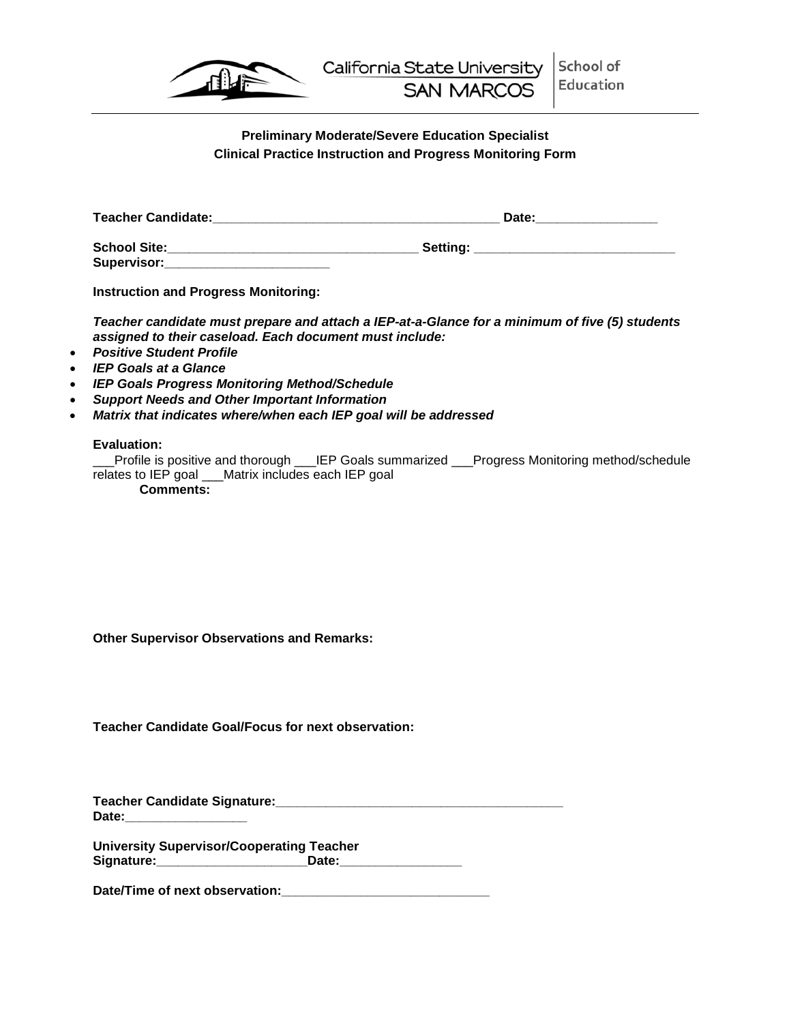

# **Preliminary Moderate/Severe Education Specialist Clinical Practice Instruction and Progress Monitoring Form**

<span id="page-23-1"></span><span id="page-23-0"></span>

| <b>Teacher Candidate:</b>          | Date:           |  |
|------------------------------------|-----------------|--|
| <b>School Site:</b><br>Supervisor: | <b>Setting:</b> |  |

**Instruction and Progress Monitoring:**

*Teacher candidate must prepare and attach a IEP-at-a-Glance for a minimum of five (5) students assigned to their caseload. Each document must include:*

- *Positive Student Profile*
- *IEP Goals at a Glance*
- *IEP Goals Progress Monitoring Method/Schedule*
- *Support Needs and Other Important Information*
- *Matrix that indicates where/when each IEP goal will be addressed*

### **Evaluation:**

Profile is positive and thorough LIEP Goals summarized Progress Monitoring method/schedule relates to IEP goal \_\_\_Matrix includes each IEP goal **Comments:**

**Other Supervisor Observations and Remarks:**

**Teacher Candidate Goal/Focus for next observation:**

**Teacher Candidate Signature:\_\_\_\_\_\_\_\_\_\_\_\_\_\_\_\_\_\_\_\_\_\_\_\_\_\_\_\_\_\_\_\_\_\_\_\_\_\_\_\_ Date:\_\_\_\_\_\_\_\_\_\_\_\_\_\_\_\_\_**

**University Supervisor/Cooperating Teacher Signature:\_\_\_\_\_\_\_\_\_\_\_\_\_\_\_\_\_\_\_\_\_Date:\_\_\_\_\_\_\_\_\_\_\_\_\_\_\_\_\_**

Date/Time of next observation: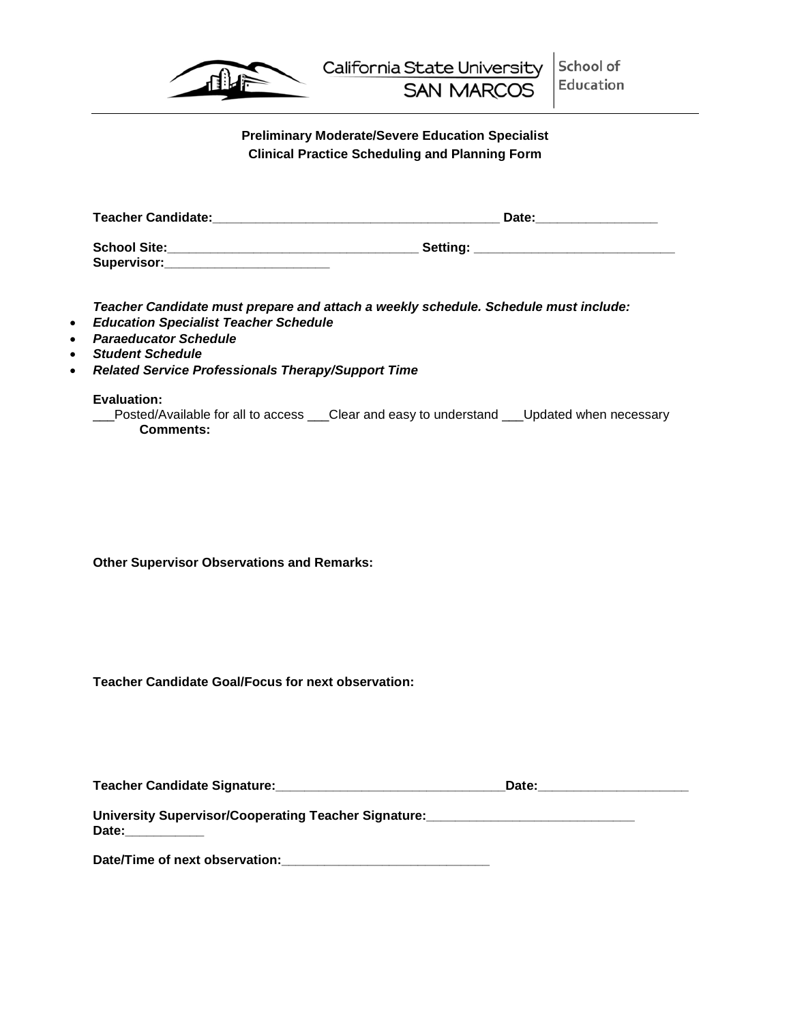

# **Preliminary Moderate/Severe Education Specialist Clinical Practice Scheduling and Planning Form**

<span id="page-24-1"></span><span id="page-24-0"></span>

| <b>Teacher Candidate:</b>          | Date:    |
|------------------------------------|----------|
| <b>School Site:</b><br>Supervisor: | Setting: |

*Teacher Candidate must prepare and attach a weekly schedule. Schedule must include:*

- *Education Specialist Teacher Schedule*
- *Paraeducator Schedule*
- *Student Schedule*
- *Related Service Professionals Therapy/Support Time*

**Evaluation:**

Leposted/Available for all to access Leclear and easy to understand Leupdated when necessary **Comments:**

**Other Supervisor Observations and Remarks:**

**Teacher Candidate Goal/Focus for next observation:**

| <b>Teacher Candidate Signature:</b>                  | Date: |  |
|------------------------------------------------------|-------|--|
|                                                      |       |  |
| University Supervisor/Cooperating Teacher Signature: |       |  |

**Date:\_\_\_\_\_\_\_\_\_\_\_**

**Date/Time of next observation:\_\_\_\_\_\_\_\_\_\_\_\_\_\_\_\_\_\_\_\_\_\_\_\_\_\_\_\_\_**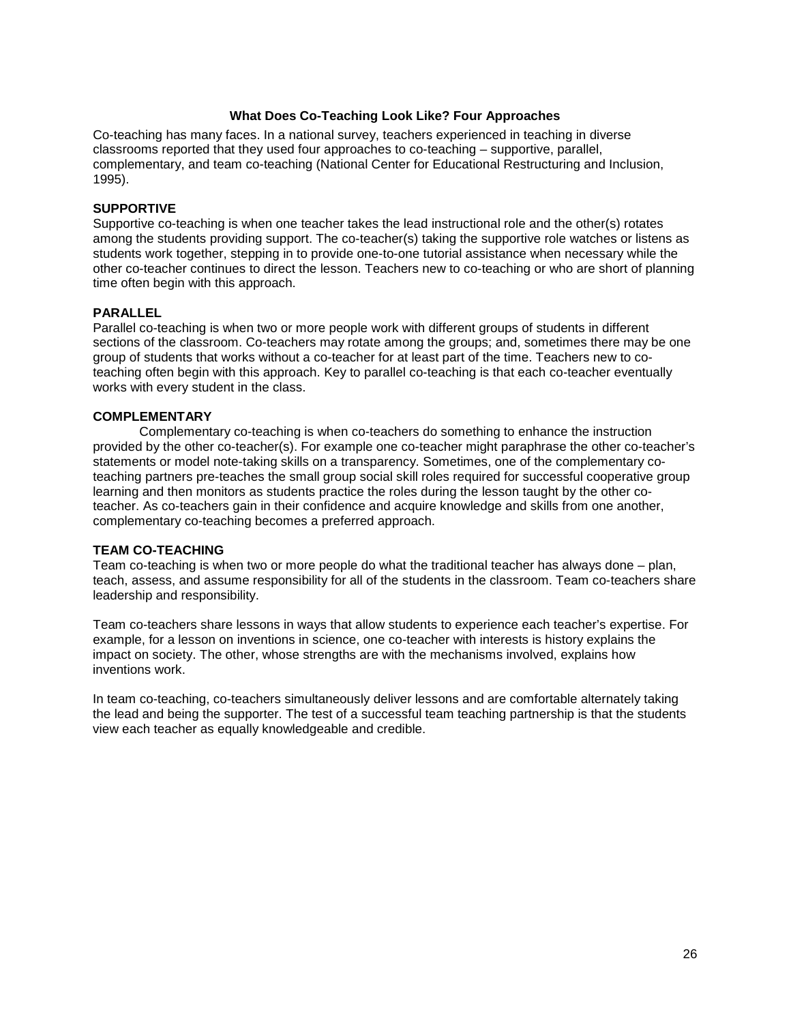#### **What Does Co-Teaching Look Like? Four Approaches**

<span id="page-25-0"></span>Co-teaching has many faces. In a national survey, teachers experienced in teaching in diverse classrooms reported that they used four approaches to co-teaching – supportive, parallel, complementary, and team co-teaching (National Center for Educational Restructuring and Inclusion, 1995).

#### **SUPPORTIVE**

Supportive co-teaching is when one teacher takes the lead instructional role and the other(s) rotates among the students providing support. The co-teacher(s) taking the supportive role watches or listens as students work together, stepping in to provide one-to-one tutorial assistance when necessary while the other co-teacher continues to direct the lesson. Teachers new to co-teaching or who are short of planning time often begin with this approach.

#### **PARALLEL**

Parallel co-teaching is when two or more people work with different groups of students in different sections of the classroom. Co-teachers may rotate among the groups; and, sometimes there may be one group of students that works without a co-teacher for at least part of the time. Teachers new to coteaching often begin with this approach. Key to parallel co-teaching is that each co-teacher eventually works with every student in the class.

#### **COMPLEMENTARY**

Complementary co-teaching is when co-teachers do something to enhance the instruction provided by the other co-teacher(s). For example one co-teacher might paraphrase the other co-teacher's statements or model note-taking skills on a transparency. Sometimes, one of the complementary coteaching partners pre-teaches the small group social skill roles required for successful cooperative group learning and then monitors as students practice the roles during the lesson taught by the other coteacher. As co-teachers gain in their confidence and acquire knowledge and skills from one another, complementary co-teaching becomes a preferred approach.

#### **TEAM CO-TEACHING**

Team co-teaching is when two or more people do what the traditional teacher has always done – plan, teach, assess, and assume responsibility for all of the students in the classroom. Team co-teachers share leadership and responsibility.

Team co-teachers share lessons in ways that allow students to experience each teacher's expertise. For example, for a lesson on inventions in science, one co-teacher with interests is history explains the impact on society. The other, whose strengths are with the mechanisms involved, explains how inventions work.

In team co-teaching, co-teachers simultaneously deliver lessons and are comfortable alternately taking the lead and being the supporter. The test of a successful team teaching partnership is that the students view each teacher as equally knowledgeable and credible.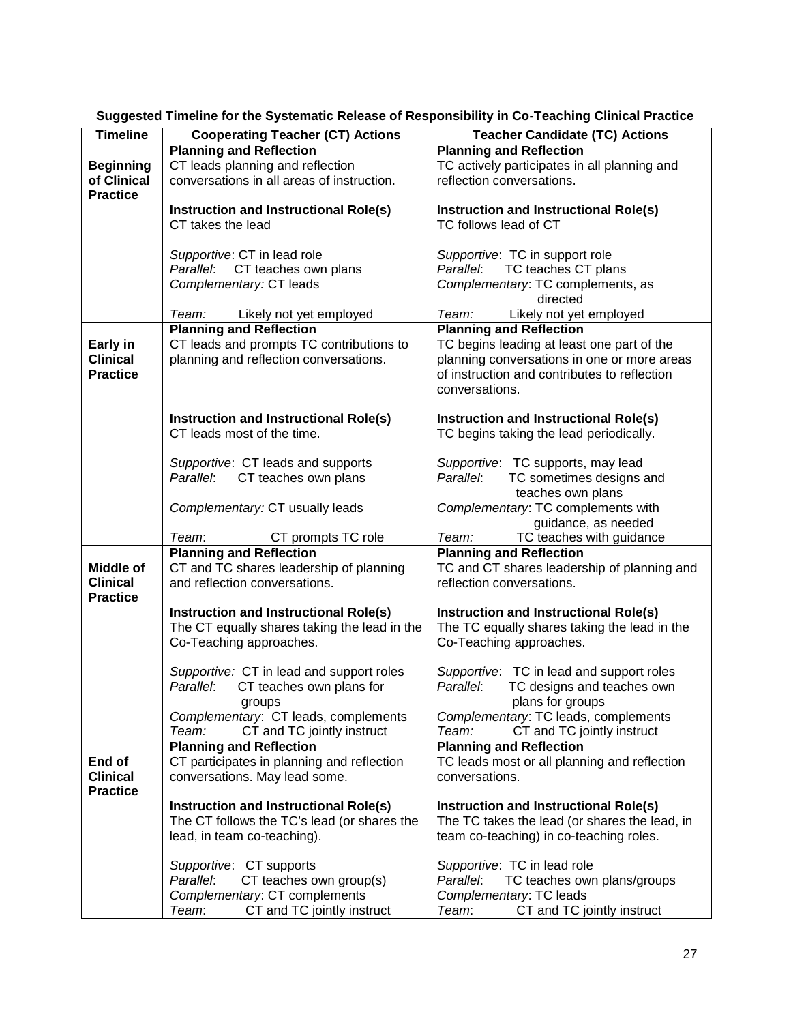| <b>Timeline</b>  | <b>Cooperating Teacher (CT) Actions</b>                               | <b>Teacher Candidate (TC) Actions</b>                                 |
|------------------|-----------------------------------------------------------------------|-----------------------------------------------------------------------|
|                  | <b>Planning and Reflection</b>                                        | <b>Planning and Reflection</b>                                        |
| <b>Beginning</b> | CT leads planning and reflection                                      | TC actively participates in all planning and                          |
| of Clinical      | conversations in all areas of instruction.                            | reflection conversations.                                             |
| <b>Practice</b>  |                                                                       |                                                                       |
|                  | <b>Instruction and Instructional Role(s)</b>                          | Instruction and Instructional Role(s)                                 |
|                  | CT takes the lead                                                     | TC follows lead of CT                                                 |
|                  |                                                                       |                                                                       |
|                  | Supportive: CT in lead role                                           | Supportive: TC in support role                                        |
|                  | Parallel: CT teaches own plans                                        | TC teaches CT plans<br>Parallel:                                      |
|                  | Complementary: CT leads                                               | Complementary: TC complements, as                                     |
|                  |                                                                       | directed                                                              |
|                  | Team:<br>Likely not yet employed                                      | Team:<br>Likely not yet employed                                      |
|                  | <b>Planning and Reflection</b>                                        | <b>Planning and Reflection</b>                                        |
| Early in         | CT leads and prompts TC contributions to                              | TC begins leading at least one part of the                            |
| <b>Clinical</b>  | planning and reflection conversations.                                | planning conversations in one or more areas                           |
| <b>Practice</b>  |                                                                       | of instruction and contributes to reflection                          |
|                  |                                                                       | conversations.                                                        |
|                  |                                                                       |                                                                       |
|                  | Instruction and Instructional Role(s)<br>CT leads most of the time.   | <b>Instruction and Instructional Role(s)</b>                          |
|                  |                                                                       | TC begins taking the lead periodically.                               |
|                  | Supportive: CT leads and supports                                     | Supportive: TC supports, may lead                                     |
|                  | CT teaches own plans<br>Parallel:                                     | Parallel:<br>TC sometimes designs and                                 |
|                  |                                                                       | teaches own plans                                                     |
|                  | Complementary: CT usually leads                                       | Complementary: TC complements with                                    |
|                  |                                                                       | guidance, as needed                                                   |
|                  | Team:<br>CT prompts TC role                                           | Team:<br>TC teaches with guidance                                     |
|                  | <b>Planning and Reflection</b>                                        | <b>Planning and Reflection</b>                                        |
| Middle of        | CT and TC shares leadership of planning                               | TC and CT shares leadership of planning and                           |
| <b>Clinical</b>  | and reflection conversations.                                         | reflection conversations.                                             |
| <b>Practice</b>  |                                                                       |                                                                       |
|                  | Instruction and Instructional Role(s)                                 | Instruction and Instructional Role(s)                                 |
|                  | The CT equally shares taking the lead in the                          | The TC equally shares taking the lead in the                          |
|                  | Co-Teaching approaches.                                               | Co-Teaching approaches.                                               |
|                  |                                                                       |                                                                       |
|                  | Supportive: CT in lead and support roles                              | Supportive: TC in lead and support roles                              |
|                  | Parallel:<br>CT teaches own plans for                                 | Parallel:<br>TC designs and teaches own                               |
|                  | groups                                                                | plans for groups                                                      |
|                  | Complementary: CT leads, complements                                  | Complementary: TC leads, complements                                  |
|                  | CT and TC jointly instruct<br>Team:<br><b>Planning and Reflection</b> | Team:<br>CT and TC jointly instruct<br><b>Planning and Reflection</b> |
| End of           | CT participates in planning and reflection                            | TC leads most or all planning and reflection                          |
| <b>Clinical</b>  | conversations. May lead some.                                         | conversations.                                                        |
| <b>Practice</b>  |                                                                       |                                                                       |
|                  | Instruction and Instructional Role(s)                                 | Instruction and Instructional Role(s)                                 |
|                  | The CT follows the TC's lead (or shares the                           | The TC takes the lead (or shares the lead, in                         |
|                  | lead, in team co-teaching).                                           | team co-teaching) in co-teaching roles.                               |
|                  |                                                                       |                                                                       |
|                  | Supportive: CT supports                                               | Supportive: TC in lead role                                           |
|                  | Parallel:<br>CT teaches own group(s)                                  | Parallel:<br>TC teaches own plans/groups                              |
|                  | Complementary: CT complements                                         | Complementary: TC leads                                               |
|                  | CT and TC jointly instruct<br>Team:                                   | Team:<br>CT and TC jointly instruct                                   |

<span id="page-26-0"></span>**Suggested Timeline for the Systematic Release of Responsibility in Co-Teaching Clinical Practice**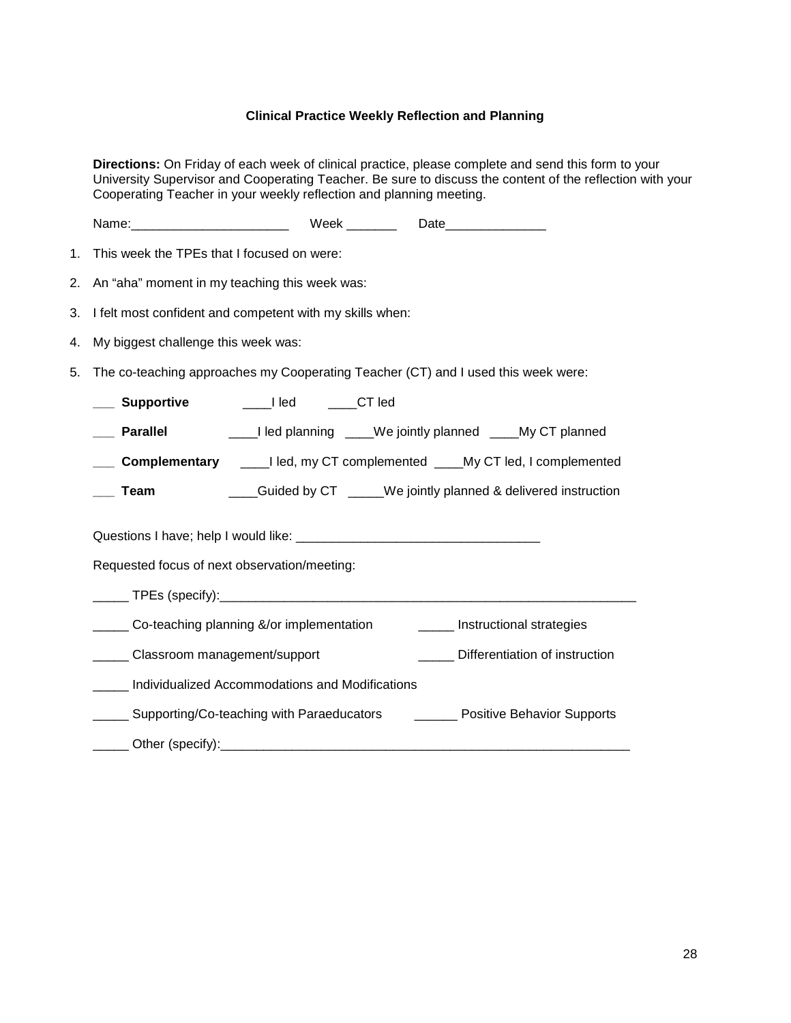## **Clinical Practice Weekly Reflection and Planning**

<span id="page-27-0"></span>**Directions:** On Friday of each week of clinical practice, please complete and send this form to your University Supervisor and Cooperating Teacher. Be sure to discuss the content of the reflection with your Cooperating Teacher in your weekly reflection and planning meeting.

| 1. | This week the TPEs that I focused on were:                                          |  |  |  |  |  |
|----|-------------------------------------------------------------------------------------|--|--|--|--|--|
| 2. | An "aha" moment in my teaching this week was:                                       |  |  |  |  |  |
| 3. | I felt most confident and competent with my skills when:                            |  |  |  |  |  |
| 4. | My biggest challenge this week was:                                                 |  |  |  |  |  |
| 5. | The co-teaching approaches my Cooperating Teacher (CT) and I used this week were:   |  |  |  |  |  |
|    | __ Supportive<br>_____I led   ____CT led                                            |  |  |  |  |  |
|    | ____I led planning ____We jointly planned ____My CT planned<br><b>Parallel</b>      |  |  |  |  |  |
|    | <b>Complementary</b> _____I led, my CT complemented _____My CT led, I complemented  |  |  |  |  |  |
|    | ____Guided by CT _____We jointly planned & delivered instruction<br>Team            |  |  |  |  |  |
|    |                                                                                     |  |  |  |  |  |
|    | Requested focus of next observation/meeting:                                        |  |  |  |  |  |
|    |                                                                                     |  |  |  |  |  |
|    | ____ Co-teaching planning &/or implementation<br>______ Instructional strategies    |  |  |  |  |  |
|    | _____ Classroom management/support<br>Differentiation of instruction                |  |  |  |  |  |
|    | Individualized Accommodations and Modifications                                     |  |  |  |  |  |
|    | _____ Supporting/Co-teaching with Paraeducators ________ Positive Behavior Supports |  |  |  |  |  |
|    |                                                                                     |  |  |  |  |  |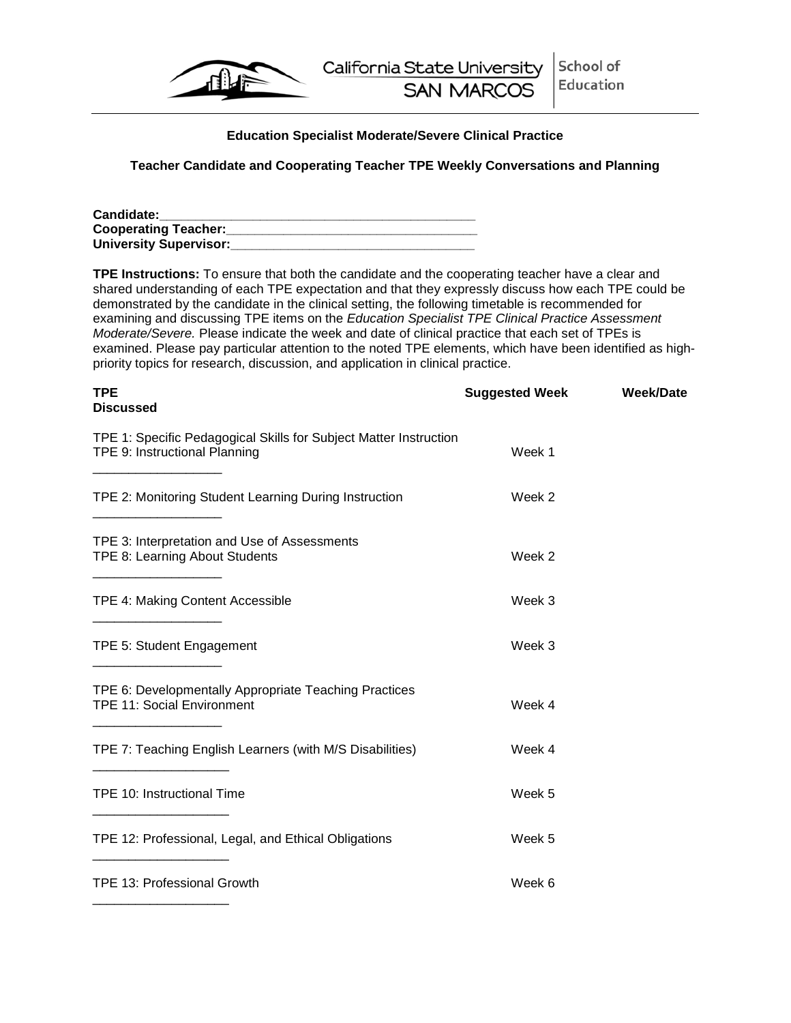

## **Education Specialist Moderate/Severe Clinical Practice**

## <span id="page-28-0"></span>**Teacher Candidate and Cooperating Teacher TPE Weekly Conversations and Planning**

| <b>Candidate:</b>             |  |
|-------------------------------|--|
| <b>Cooperating Teacher:</b>   |  |
| <b>University Supervisor:</b> |  |

**TPE Instructions:** To ensure that both the candidate and the cooperating teacher have a clear and shared understanding of each TPE expectation and that they expressly discuss how each TPE could be demonstrated by the candidate in the clinical setting, the following timetable is recommended for examining and discussing TPE items on the *Education Specialist TPE Clinical Practice Assessment Moderate/Severe.* Please indicate the week and date of clinical practice that each set of TPEs is examined. Please pay particular attention to the noted TPE elements, which have been identified as highpriority topics for research, discussion, and application in clinical practice.

| TPE<br><b>Discussed</b>                                                                            | <b>Suggested Week</b> | Week/Date |
|----------------------------------------------------------------------------------------------------|-----------------------|-----------|
| TPE 1: Specific Pedagogical Skills for Subject Matter Instruction<br>TPE 9: Instructional Planning | Week 1                |           |
| TPE 2: Monitoring Student Learning During Instruction                                              | Week 2                |           |
| TPE 3: Interpretation and Use of Assessments<br>TPE 8: Learning About Students                     | Week 2                |           |
| TPE 4: Making Content Accessible                                                                   | Week 3                |           |
| TPE 5: Student Engagement                                                                          | Week 3                |           |
| TPE 6: Developmentally Appropriate Teaching Practices<br>TPE 11: Social Environment                | Week 4                |           |
| TPE 7: Teaching English Learners (with M/S Disabilities)                                           | Week 4                |           |
| TPE 10: Instructional Time                                                                         | Week 5                |           |
| TPE 12: Professional, Legal, and Ethical Obligations                                               | Week 5                |           |
| TPE 13: Professional Growth                                                                        | Week 6                |           |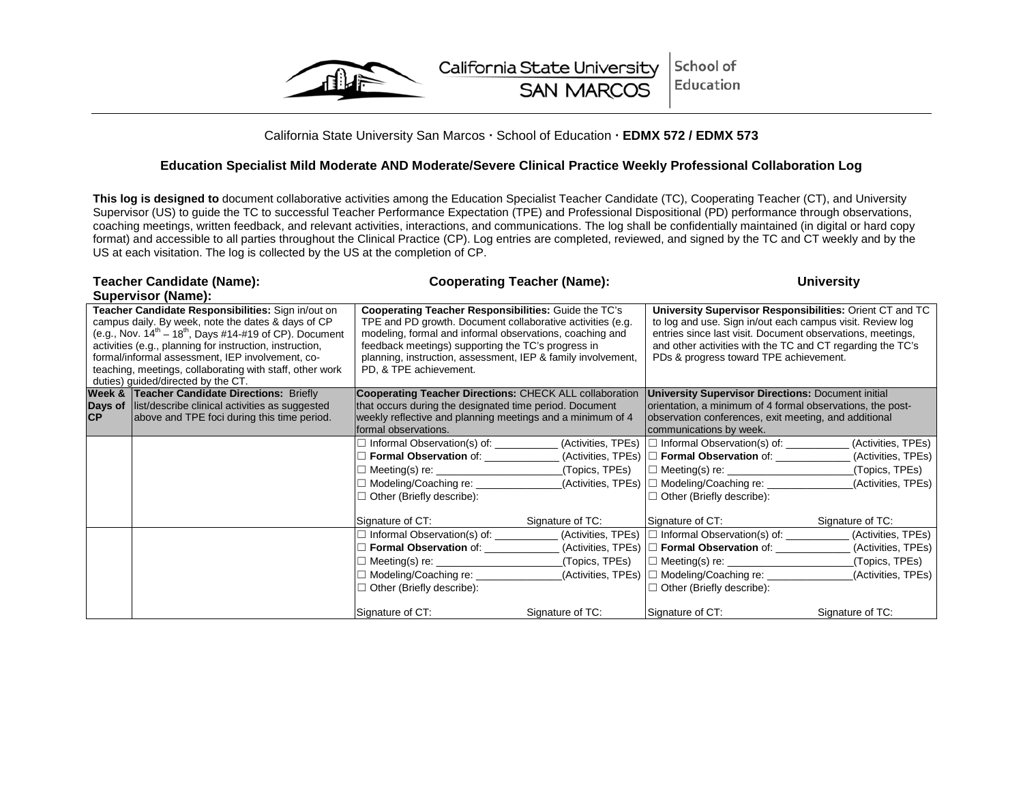

## California State University San Marcos · School of Education · EDMX 572 / EDMX 573

#### **Education Specialist Mild Moderate AND Moderate/Severe Clinical Practice Weekly Professional Collaboration Log**

**This log is designed to** document collaborative activities among the Education Specialist Teacher Candidate (TC), Cooperating Teacher (CT), and University Supervisor (US) to guide the TC to successful Teacher Performance Expectation (TPE) and Professional Dispositional (PD) performance through observations, coaching meetings, written feedback, and relevant activities, interactions, and communications. The log shall be confidentially maintained (in digital or hard copy format) and accessible to all parties throughout the Clinical Practice (CP). Log entries are completed, reviewed, and signed by the TC and CT weekly and by the US at each visitation. The log is collected by the US at the completion of CP.

<span id="page-29-0"></span>

| Teacher Candidate (Name):                                                                                                                                                                                                                                                                                                                                                                     |                                                                                                                                                          | <b>Cooperating Teacher (Name):</b>                                                                                                                                                                                                                                                                                             |                                     | <b>University</b>                                                                                                                                                                                                                                                                           |                                                             |
|-----------------------------------------------------------------------------------------------------------------------------------------------------------------------------------------------------------------------------------------------------------------------------------------------------------------------------------------------------------------------------------------------|----------------------------------------------------------------------------------------------------------------------------------------------------------|--------------------------------------------------------------------------------------------------------------------------------------------------------------------------------------------------------------------------------------------------------------------------------------------------------------------------------|-------------------------------------|---------------------------------------------------------------------------------------------------------------------------------------------------------------------------------------------------------------------------------------------------------------------------------------------|-------------------------------------------------------------|
|                                                                                                                                                                                                                                                                                                                                                                                               | Supervisor (Name):                                                                                                                                       |                                                                                                                                                                                                                                                                                                                                |                                     |                                                                                                                                                                                                                                                                                             |                                                             |
| Teacher Candidate Responsibilities: Sign in/out on<br>campus daily. By week, note the dates & days of CP<br>(e.g., Nov. $14^{th} - 18^{th}$ , Days #14-#19 of CP). Document<br>activities (e.g., planning for instruction, instruction,<br>formal/informal assessment, IEP involvement, co-<br>teaching, meetings, collaborating with staff, other work<br>duties) guided/directed by the CT. |                                                                                                                                                          | Cooperating Teacher Responsibilities: Guide the TC's<br>TPE and PD growth. Document collaborative activities (e.g.<br>modeling, formal and informal observations, coaching and<br>feedback meetings) supporting the TC's progress in<br>planning, instruction, assessment, IEP & family involvement,<br>PD, & TPE achievement. |                                     | University Supervisor Responsibilities: Orient CT and TC<br>to log and use. Sign in/out each campus visit. Review log<br>entries since last visit. Document observations, meetings,<br>and other activities with the TC and CT regarding the TC's<br>PDs & progress toward TPE achievement. |                                                             |
| Days of<br><b>CP</b>                                                                                                                                                                                                                                                                                                                                                                          | <b>Week &amp; Teacher Candidate Directions: Briefly</b><br>list/describe clinical activities as suggested<br>above and TPE foci during this time period. | <b>Cooperating Teacher Directions: CHECK ALL collaboration</b><br>that occurs during the designated time period. Document<br>weekly reflective and planning meetings and a minimum of 4<br>formal observations.                                                                                                                |                                     | <b>University Supervisor Directions: Document initial</b><br>orientation, a minimum of 4 formal observations, the post-<br>observation conferences, exit meeting, and additional<br>communications by week.                                                                                 |                                                             |
|                                                                                                                                                                                                                                                                                                                                                                                               |                                                                                                                                                          | □ Informal Observation(s) of: ___________<br>$\Box$ Meeting(s) re:<br>□ Modeling/Coaching re: _______________<br>$\Box$ Other (Briefly describe):                                                                                                                                                                              | (Topics, TPEs)                      | (Activities, TPEs)  □ Informal Observation(s) of: ___________(Activities, TPEs)<br>(Activities, TPEs) □ Formal Observation of: ______________<br>$\Box$ Meeting(s) re:<br>_(Activities, TPEs)  □ Modeling/Coaching re: ______________<br>$\Box$ Other (Briefly describe):                   | (Activities, TPEs)<br>_(Topics, TPEs)<br>(Activities, TPEs) |
|                                                                                                                                                                                                                                                                                                                                                                                               |                                                                                                                                                          | Signature of CT:<br>□ Informal Observation(s) of: (Activities, TPEs) □ Informal Observation(s) of: (Activities, TPEs)<br>$\Box$ Meeting(s) re:<br>□ Modeling/Coaching re:<br>$\Box$ Other (Briefly describe):                                                                                                                  | Signature of TC:<br>_(Topics, TPEs) | Signature of CT:<br>$(Activities, TPEs)$ $\Box$ Formal Observation of: ____________(Activities, TPEs)<br>(Activities, TPEs)  □ Modeling/Coaching re:<br>$\Box$ Other (Briefly describe):                                                                                                    | Signature of TC:<br>_(Topics, TPEs)<br>(Activities, TPEs)   |
|                                                                                                                                                                                                                                                                                                                                                                                               |                                                                                                                                                          | Signature of CT:                                                                                                                                                                                                                                                                                                               | Signature of TC:                    | Signature of CT:                                                                                                                                                                                                                                                                            | Signature of TC:                                            |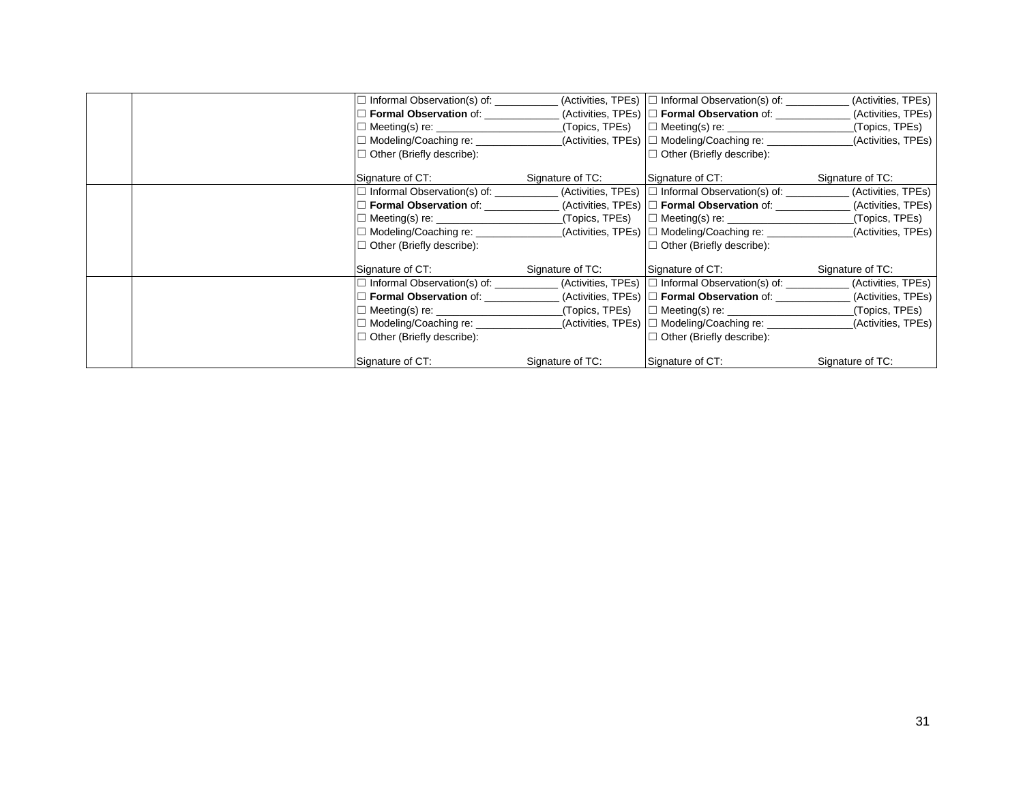|  | Informal Observation(s) of: __________ |                  | $(Activities, TPEs)$ $\Box$ Informal Observation(s) of: $\Box$ | (Activities, TPEs) |
|--|----------------------------------------|------------------|----------------------------------------------------------------|--------------------|
|  | <b>Formal Observation of:</b>          |                  | (Activities, TPEs) $\Box$ Formal Observation of:               | (Activities, TPEs) |
|  | $\Box$ Meeting(s) re:                  | (Topics, TPEs)   | $\Box$ Meeting(s) re:                                          | (Topics, TPEs)     |
|  | □ Modeling/Coaching re: ________       |                  | (Activities, TPEs)  □ Modeling/Coaching re:                    | (Activities, TPEs) |
|  | $\Box$ Other (Briefly describe):       |                  | $\Box$ Other (Briefly describe):                               |                    |
|  | Signature of CT:                       | Signature of TC: | Signature of CT:                                               | Signature of TC:   |
|  |                                        |                  | $(Activities, TPEs)$ $\Box$ Informal Observation(s) of:        | (Activities, TPEs) |
|  | <b>Formal Observation of:</b>          |                  | $(A$ ctivities, TPEs) $\Box$ Formal Observation of:            | (Activities, TPEs) |
|  | $\Box$ Meeting(s) re: $\Box$           | (Topics, TPEs)   | $\Box$ Meeting(s) re:                                          | (Topics, TPEs)     |
|  | □ Modeling/Coaching re:                |                  | (Activities, TPEs)  □ Modeling/Coaching re:                    | (Activities, TPEs) |
|  | $\Box$ Other (Briefly describe):       |                  | $\Box$ Other (Briefly describe):                               |                    |
|  | Signature of CT:                       | Signature of TC: | Signature of CT:                                               | Signature of TC:   |
|  | $\Box$ Informal Observation(s) of:     |                  | $(Activities, TPEs)$ $\square$ Informal Observation(s) of:     | (Activities, TPEs) |
|  | <b>Formal Observation of:</b>          |                  | $(A$ ctivities, TPEs) $\Box$ Formal Observation of:            | (Activities, TPEs) |
|  | $M!$ eeting(s) re:                     | (Topics, TPEs)   | $\Box$ Meeting(s) re:                                          | (Topics, TPEs)     |
|  | □ Modeling/Coaching re: _______        |                  | (Activities, TPEs)  □ Modeling/Coaching re:                    | (Activities, TPEs) |
|  | $\Box$ Other (Briefly describe):       |                  | $\Box$ Other (Briefly describe):                               |                    |
|  | Signature of CT:                       | Signature of TC: | Signature of CT:                                               | Signature of TC:   |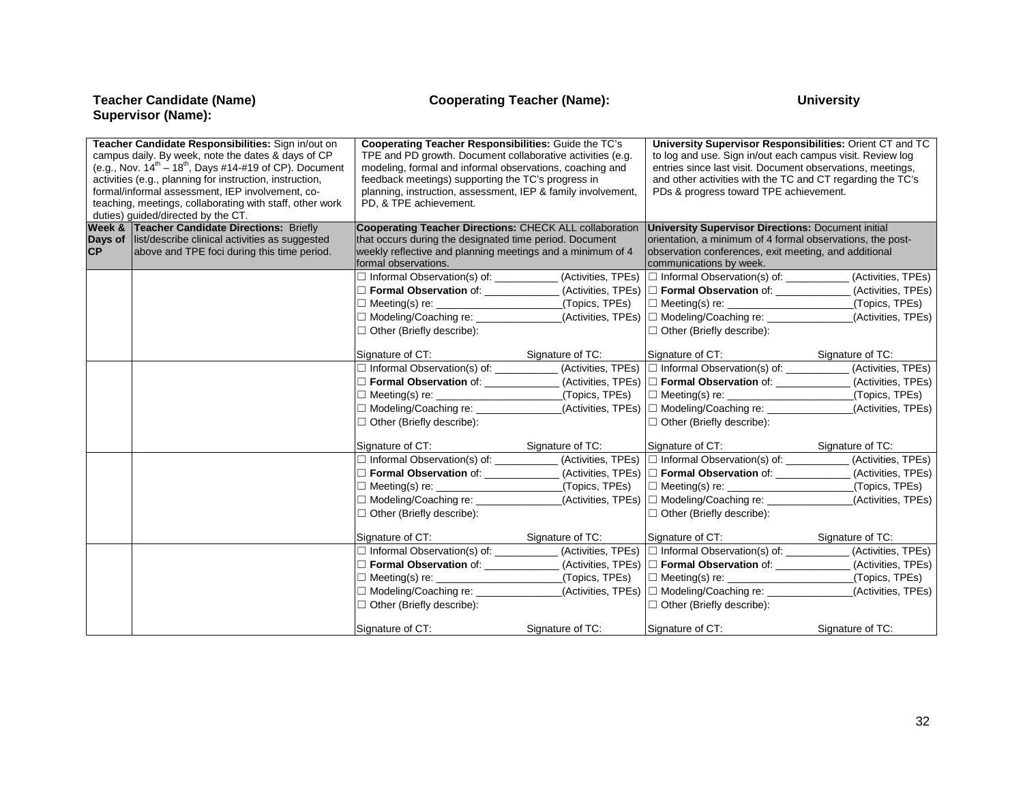**Teacher Candidate (Name)<br>Supervisor (Name):** 

| Teacher Candidate Responsibilities: Sign in/out on<br>campus daily. By week, note the dates & days of CP<br>(e.g., Nov. $14^{th} - 18^{th}$ , Days #14-#19 of CP). Document<br>activities (e.g., planning for instruction, instruction,<br>formal/informal assessment, IEP involvement, co-<br>teaching, meetings, collaborating with staff, other work<br>duties) guided/directed by the CT. |                                                         | <b>Cooperating Teacher Responsibilities: Guide the TC's</b><br>TPE and PD growth. Document collaborative activities (e.g.<br>modeling, formal and informal observations, coaching and<br>feedback meetings) supporting the TC's progress in<br>planning, instruction, assessment, IEP & family involvement,<br>PD, & TPE achievement. |                  | University Supervisor Responsibilities: Orient CT and TC<br>to log and use. Sign in/out each campus visit. Review log<br>entries since last visit. Document observations, meetings,<br>and other activities with the TC and CT regarding the TC's<br>PDs & progress toward TPE achievement. |                    |
|-----------------------------------------------------------------------------------------------------------------------------------------------------------------------------------------------------------------------------------------------------------------------------------------------------------------------------------------------------------------------------------------------|---------------------------------------------------------|---------------------------------------------------------------------------------------------------------------------------------------------------------------------------------------------------------------------------------------------------------------------------------------------------------------------------------------|------------------|---------------------------------------------------------------------------------------------------------------------------------------------------------------------------------------------------------------------------------------------------------------------------------------------|--------------------|
|                                                                                                                                                                                                                                                                                                                                                                                               | <b>Week &amp; Teacher Candidate Directions: Briefly</b> | <b>Cooperating Teacher Directions: CHECK ALL collaboration</b>                                                                                                                                                                                                                                                                        |                  | <b>University Supervisor Directions: Document initial</b>                                                                                                                                                                                                                                   |                    |
|                                                                                                                                                                                                                                                                                                                                                                                               | Days of list/describe clinical activities as suggested  | that occurs during the designated time period. Document                                                                                                                                                                                                                                                                               |                  | orientation, a minimum of 4 formal observations, the post-                                                                                                                                                                                                                                  |                    |
| <b>CP</b>                                                                                                                                                                                                                                                                                                                                                                                     | above and TPE foci during this time period.             | weekly reflective and planning meetings and a minimum of 4<br>formal observations.                                                                                                                                                                                                                                                    |                  | observation conferences, exit meeting, and additional<br>communications by week.                                                                                                                                                                                                            |                    |
|                                                                                                                                                                                                                                                                                                                                                                                               |                                                         | □ Informal Observation(s) of: (Activities, TPEs) □ Informal Observation(s) of: (Activities, TPEs)                                                                                                                                                                                                                                     |                  |                                                                                                                                                                                                                                                                                             |                    |
|                                                                                                                                                                                                                                                                                                                                                                                               |                                                         | Formal Observation of: __________                                                                                                                                                                                                                                                                                                     |                  | (Activities, TPEs) □ Formal Observation of: _____________                                                                                                                                                                                                                                   | (Activities, TPEs) |
|                                                                                                                                                                                                                                                                                                                                                                                               |                                                         |                                                                                                                                                                                                                                                                                                                                       | (Topics, TPEs)   |                                                                                                                                                                                                                                                                                             | (Topics, TPEs)     |
|                                                                                                                                                                                                                                                                                                                                                                                               |                                                         | □ Modeling/Coaching re:                                                                                                                                                                                                                                                                                                               |                  | _(Activities, TPEs)  □ Modeling/Coaching re: ______________                                                                                                                                                                                                                                 | (Activities, TPEs) |
|                                                                                                                                                                                                                                                                                                                                                                                               |                                                         | $\Box$ Other (Briefly describe):                                                                                                                                                                                                                                                                                                      |                  | $\Box$ Other (Briefly describe):                                                                                                                                                                                                                                                            |                    |
|                                                                                                                                                                                                                                                                                                                                                                                               |                                                         |                                                                                                                                                                                                                                                                                                                                       |                  |                                                                                                                                                                                                                                                                                             |                    |
|                                                                                                                                                                                                                                                                                                                                                                                               |                                                         | Signature of CT:                                                                                                                                                                                                                                                                                                                      | Signature of TC: | Signature of CT:                                                                                                                                                                                                                                                                            | Signature of TC:   |
|                                                                                                                                                                                                                                                                                                                                                                                               |                                                         | □ Informal Observation(s) of: (Activities, TPEs) □ Informal Observation(s) of: (Activities, TPEs)                                                                                                                                                                                                                                     |                  |                                                                                                                                                                                                                                                                                             |                    |
|                                                                                                                                                                                                                                                                                                                                                                                               |                                                         | □ Formal Observation of: ______________(Activities, TPEs) □ Formal Observation of: ___________(Activities, TPEs)                                                                                                                                                                                                                      |                  |                                                                                                                                                                                                                                                                                             |                    |
|                                                                                                                                                                                                                                                                                                                                                                                               |                                                         | $\Box$ Meeting(s) re:                                                                                                                                                                                                                                                                                                                 |                  |                                                                                                                                                                                                                                                                                             | (Topics, TPEs)     |
|                                                                                                                                                                                                                                                                                                                                                                                               |                                                         | □ Modeling/Coaching re: _____________                                                                                                                                                                                                                                                                                                 |                  | _(Activities, TPEs)  □ Modeling/Coaching re: ______________                                                                                                                                                                                                                                 | (Activities, TPEs) |
|                                                                                                                                                                                                                                                                                                                                                                                               |                                                         | □ Other (Briefly describe):                                                                                                                                                                                                                                                                                                           |                  | $\Box$ Other (Briefly describe):                                                                                                                                                                                                                                                            |                    |
|                                                                                                                                                                                                                                                                                                                                                                                               |                                                         | Signature of CT:                                                                                                                                                                                                                                                                                                                      | Signature of TC: | Signature of CT: Signature of TC:                                                                                                                                                                                                                                                           |                    |
|                                                                                                                                                                                                                                                                                                                                                                                               |                                                         | □ Informal Observation(s) of: ____________ (Activities, TPEs) □ Informal Observation(s) of: ________ (Activities, TPEs)                                                                                                                                                                                                               |                  |                                                                                                                                                                                                                                                                                             |                    |
|                                                                                                                                                                                                                                                                                                                                                                                               |                                                         | □ Formal Observation of: ______________(Activities, TPEs) □ Formal Observation of: ___________(Activities, TPEs)                                                                                                                                                                                                                      |                  |                                                                                                                                                                                                                                                                                             |                    |
|                                                                                                                                                                                                                                                                                                                                                                                               |                                                         | $\Box$ Meeting(s) re:                                                                                                                                                                                                                                                                                                                 |                  | $($ Topics, TPEs) $\Box$ Meeting(s) re: $\Box$                                                                                                                                                                                                                                              | _(Topics, TPEs)    |
|                                                                                                                                                                                                                                                                                                                                                                                               |                                                         | $\Box$ Modeling/Coaching re:                                                                                                                                                                                                                                                                                                          |                  | _(Activities, TPEs)  □ Modeling/Coaching re: ______________                                                                                                                                                                                                                                 | (Activities, TPEs) |
|                                                                                                                                                                                                                                                                                                                                                                                               |                                                         | $\Box$ Other (Briefly describe):                                                                                                                                                                                                                                                                                                      |                  | $\Box$ Other (Briefly describe):                                                                                                                                                                                                                                                            |                    |
|                                                                                                                                                                                                                                                                                                                                                                                               |                                                         | Signature of CT:                                                                                                                                                                                                                                                                                                                      | Signature of TC: | Signature of CT:                                                                                                                                                                                                                                                                            | Signature of TC:   |
|                                                                                                                                                                                                                                                                                                                                                                                               |                                                         | Informal Observation(s) of: __________                                                                                                                                                                                                                                                                                                |                  | (Activities, TPEs) □ Informal Observation(s) of: __________                                                                                                                                                                                                                                 | (Activities, TPEs) |
|                                                                                                                                                                                                                                                                                                                                                                                               |                                                         | Formal Observation of: ____________                                                                                                                                                                                                                                                                                                   |                  | . (Activities, TPEs) □ Formal Observation of: _____________                                                                                                                                                                                                                                 | (Activities, TPEs) |
|                                                                                                                                                                                                                                                                                                                                                                                               |                                                         | $\Box$ Meeting(s) re:                                                                                                                                                                                                                                                                                                                 | (Topics, TPEs)   |                                                                                                                                                                                                                                                                                             | (Topics, TPEs)     |
|                                                                                                                                                                                                                                                                                                                                                                                               |                                                         | □ Modeling/Coaching re:                                                                                                                                                                                                                                                                                                               |                  | _(Activities, TPEs)  □ Modeling/Coaching re: _____________                                                                                                                                                                                                                                  | (Activities, TPEs) |
|                                                                                                                                                                                                                                                                                                                                                                                               |                                                         | $\Box$ Other (Briefly describe):                                                                                                                                                                                                                                                                                                      |                  | $\Box$ Other (Briefly describe):                                                                                                                                                                                                                                                            |                    |
|                                                                                                                                                                                                                                                                                                                                                                                               |                                                         | Signature of CT:                                                                                                                                                                                                                                                                                                                      | Signature of TC: | Signature of CT:                                                                                                                                                                                                                                                                            | Signature of TC:   |